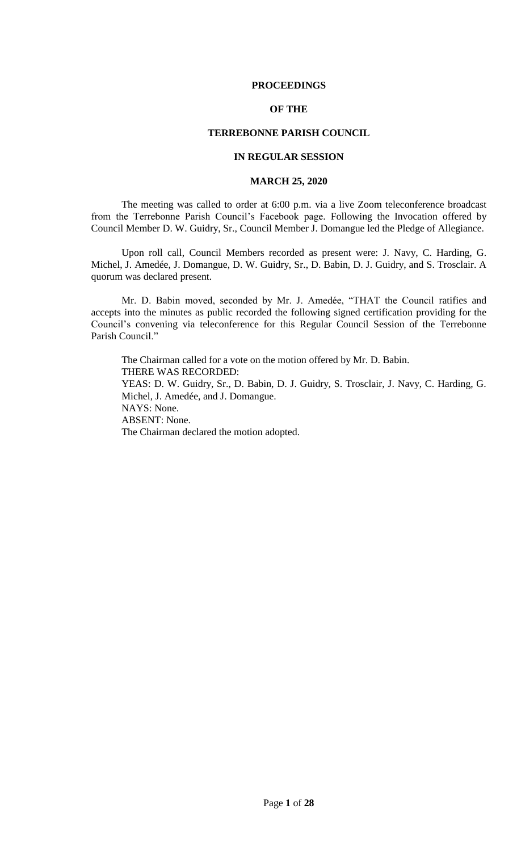### **PROCEEDINGS**

# **OF THE**

## **TERREBONNE PARISH COUNCIL**

# **IN REGULAR SESSION**

## **MARCH 25, 2020**

The meeting was called to order at 6:00 p.m. via a live Zoom teleconference broadcast from the Terrebonne Parish Council's Facebook page. Following the Invocation offered by Council Member D. W. Guidry, Sr., Council Member J. Domangue led the Pledge of Allegiance.

Upon roll call, Council Members recorded as present were: J. Navy, C. Harding, G. Michel, J. Amedée, J. Domangue, D. W. Guidry, Sr., D. Babin, D. J. Guidry, and S. Trosclair. A quorum was declared present.

Mr. D. Babin moved, seconded by Mr. J. Amedée, "THAT the Council ratifies and accepts into the minutes as public recorded the following signed certification providing for the Council's convening via teleconference for this Regular Council Session of the Terrebonne Parish Council."

The Chairman called for a vote on the motion offered by Mr. D. Babin. THERE WAS RECORDED: YEAS: D. W. Guidry, Sr., D. Babin, D. J. Guidry, S. Trosclair, J. Navy, C. Harding, G. Michel, J. Amedée, and J. Domangue. NAYS: None. ABSENT: None. The Chairman declared the motion adopted.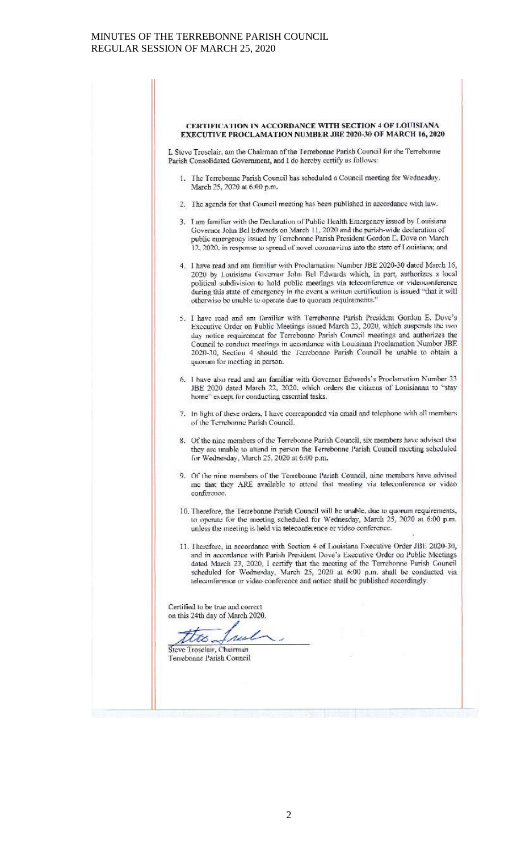#### CERTIFICATION IN ACCORDANCE WITH SECTION 4 OF LOUISIANA EXECUTIVE PROCLAMATION NUMBER JBE 2020-30 OF MARCH 16, 2020

I. Steve Trosclair, am the Chairman of the Terrebonne Parish Council for the Terrebonne Parish Consolidated Government, and I do hereby certify as follows:

- 1. The Terrebonne Parish Council has scheduled a Council meeting for Wednesday. March 25, 2020 at 6:00 p.m.
- 2. The agenda for that Council meeting has been published in accordance with law.
- 3. I am familiar with the Declaration of Public Health Emergency issued by Louisiana Governor John Bel Edwards on March 11, 2020 and the parish-wide declaration of public emergency issued by Terrebonne Parish President Gordon E. Dove on March 12, 2020, in response to spread of novel coronavirus into the state of Louisiana; and
- 4. I have read and am familiar with Proclamation Number JBE 2020-30 dated March 16, 2020 by Louisiana Governor John Bel Edwards which, in part, authorizes a local political subdivision to hold public meetings via teleconference or videoconference during this state of emergency in the event a written certification is issued "that it will otherwise be unable to operate due to quorum requirements.'
- 5. I have read and am familiar with Terrebonne Parish President Gordon E. Dove's Executive Order on Public Meetings issued March 23, 2020, which suspends the two day notice requirement for Terrebonne Parish Council meetings and authorizes the Council to conduct meetings in accordance with Louisiana Proclamation Number JBF. 2020-30, Section 4 should the Terrebonne Parish Council be unable to obtain a quorum for meeting in person.
- 6. I have also read and am familiar with Governor Edwards's Proclamation Number 33 JBE 2020 dated March 22, 2020, which orders the citizens of Louisianan to "stay home" except for conducting essential tasks.
- 7. In light of these orders, I have corresponded via email and telephone with all members of the Terrebonne Parish Council.
- 8. Of the nine members of the Terrebonne Parish Council, six members have advised that they are unable to attend in person the Terrebonne Parish Council meeting scheduled for Wednesday, March 25, 2020 at 6:00 p.m.
- 9. Of the nine members of the Terrebonne Parish Council, nine members have advised me that they ARE available to attend that meeting via teleconference or video conference.
- 10. Therefore, the Terrebonne Parish Council will be unable, due to quorum requirements, to operate for the meeting scheduled for Wednesday, March 25, 2020 at 6:00 p.m. unless the meeting is held via teleconference or video conference.
- 11. Therefore, in accordance with Section 4 of Louisiana Executive Order JBE 2020-30, and in accordance with Parish President Dove's Executive Order on Public Mectings dated March 23, 2020, I certify that the meeting of the Terrebonne Parish Council scheduled for Wednesday, March 25, 2020 at 6:00 p.m. shall be conducted via teleconference or video conference and notice shall be published accordingly.

Certified to be true and correct on this 24th day of March 2020.

to. ruch

Steve Troselair, Chairman Terrebonne Parish Council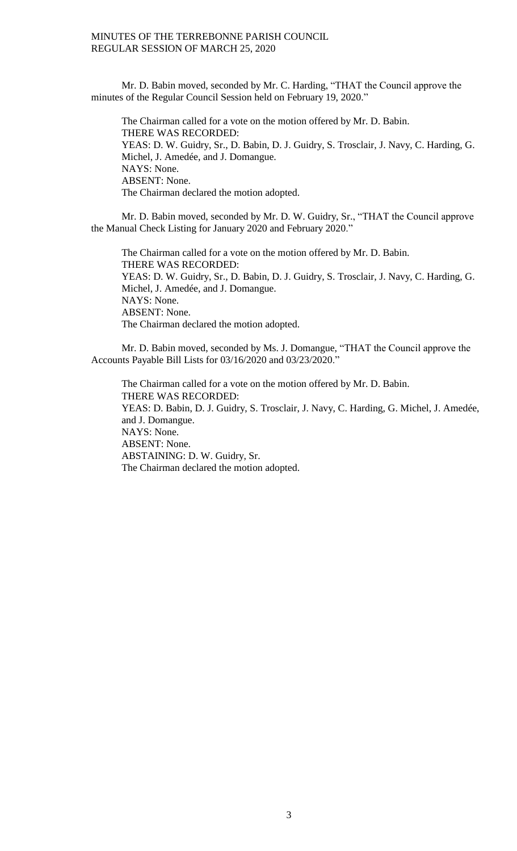Mr. D. Babin moved, seconded by Mr. C. Harding, "THAT the Council approve the minutes of the Regular Council Session held on February 19, 2020."

The Chairman called for a vote on the motion offered by Mr. D. Babin. THERE WAS RECORDED: YEAS: D. W. Guidry, Sr., D. Babin, D. J. Guidry, S. Trosclair, J. Navy, C. Harding, G. Michel, J. Amedée, and J. Domangue. NAYS: None. ABSENT: None. The Chairman declared the motion adopted.

Mr. D. Babin moved, seconded by Mr. D. W. Guidry, Sr., "THAT the Council approve the Manual Check Listing for January 2020 and February 2020."

The Chairman called for a vote on the motion offered by Mr. D. Babin. THERE WAS RECORDED: YEAS: D. W. Guidry, Sr., D. Babin, D. J. Guidry, S. Trosclair, J. Navy, C. Harding, G. Michel, J. Amedée, and J. Domangue. NAYS: None. ABSENT: None. The Chairman declared the motion adopted.

Mr. D. Babin moved, seconded by Ms. J. Domangue, "THAT the Council approve the Accounts Payable Bill Lists for 03/16/2020 and 03/23/2020."

The Chairman called for a vote on the motion offered by Mr. D. Babin. THERE WAS RECORDED: YEAS: D. Babin, D. J. Guidry, S. Trosclair, J. Navy, C. Harding, G. Michel, J. Amedée, and J. Domangue. NAYS: None. ABSENT: None. ABSTAINING: D. W. Guidry, Sr. The Chairman declared the motion adopted.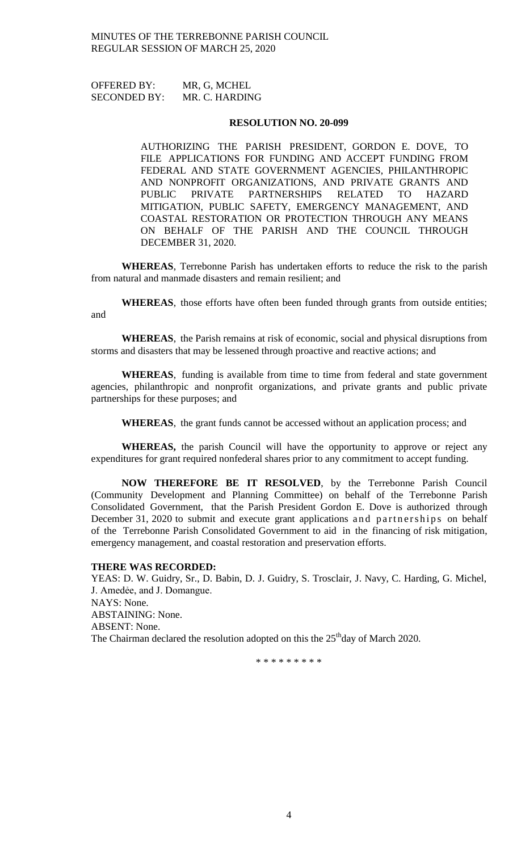OFFERED BY: MR, G, MCHEL SECONDED BY: MR. C. HARDING

#### **RESOLUTION NO. 20-099**

AUTHORIZING THE PARISH PRESIDENT, GORDON E. DOVE, TO FILE APPLICATIONS FOR FUNDING AND ACCEPT FUNDING FROM FEDERAL AND STATE GOVERNMENT AGENCIES, PHILANTHROPIC AND NONPROFIT ORGANIZATIONS, AND PRIVATE GRANTS AND PUBLIC PRIVATE PARTNERSHIPS RELATED TO HAZARD MITIGATION, PUBLIC SAFETY, EMERGENCY MANAGEMENT, AND COASTAL RESTORATION OR PROTECTION THROUGH ANY MEANS ON BEHALF OF THE PARISH AND THE COUNCIL THROUGH DECEMBER 31, 2020.

**WHEREAS**, Terrebonne Parish has undertaken efforts to reduce the risk to the parish from natural and manmade disasters and remain resilient; and

**WHEREAS**, those efforts have often been funded through grants from outside entities; and

**WHEREAS**, the Parish remains at risk of economic, social and physical disruptions from storms and disasters that may be lessened through proactive and reactive actions; and

**WHEREAS**, funding is available from time to time from federal and state government agencies, philanthropic and nonprofit organizations, and private grants and public private partnerships for these purposes; and

**WHEREAS**, the grant funds cannot be accessed without an application process; and

**WHEREAS,** the parish Council will have the opportunity to approve or reject any expenditures for grant required nonfederal shares prior to any commitment to accept funding.

**NOW THEREFORE BE IT RESOLVED**, by the Terrebonne Parish Council (Community Development and Planning Committee) on behalf of the Terrebonne Parish Consolidated Government, that the Parish President Gordon E. Dove is authorized through December 31, 2020 to submit and execute grant applications and partnerships on behalf of the Terrebonne Parish Consolidated Government to aid in the financing of risk mitigation, emergency management, and coastal restoration and preservation efforts.

#### **THERE WAS RECORDED:**

YEAS: D. W. Guidry, Sr., D. Babin, D. J. Guidry, S. Trosclair, J. Navy, C. Harding, G. Michel, J. Amedẻe, and J. Domangue. NAYS: None. ABSTAINING: None. ABSENT: None. The Chairman declared the resolution adopted on this the  $25<sup>th</sup>$ day of March 2020.

\* \* \* \* \* \* \* \* \*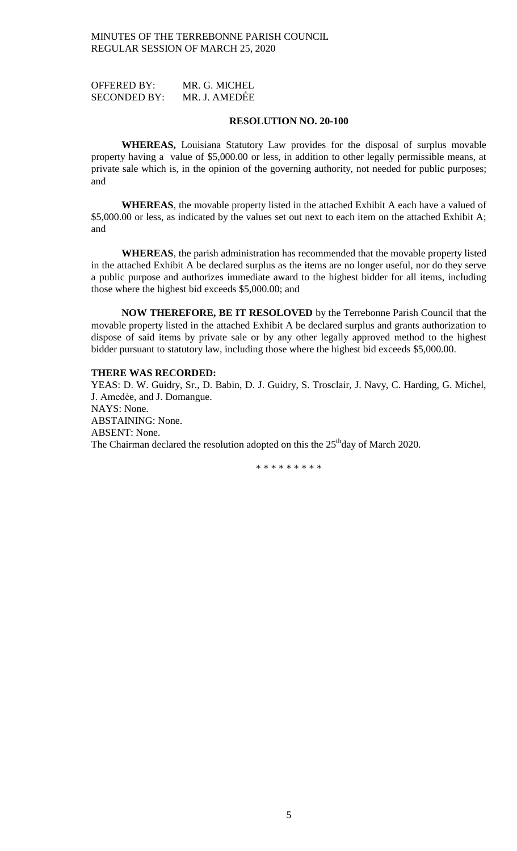OFFERED BY: MR. G. MICHEL SECONDED BY: MR. J. AMEDẾE

### **RESOLUTION NO. 20-100**

**WHEREAS,** Louisiana Statutory Law provides for the disposal of surplus movable property having a value of \$5,000.00 or less, in addition to other legally permissible means, at private sale which is, in the opinion of the governing authority, not needed for public purposes; and

**WHEREAS**, the movable property listed in the attached Exhibit A each have a valued of \$5,000.00 or less, as indicated by the values set out next to each item on the attached Exhibit A; and

**WHEREAS**, the parish administration has recommended that the movable property listed in the attached Exhibit A be declared surplus as the items are no longer useful, nor do they serve a public purpose and authorizes immediate award to the highest bidder for all items, including those where the highest bid exceeds \$5,000.00; and

**NOW THEREFORE, BE IT RESOLOVED** by the Terrebonne Parish Council that the movable property listed in the attached Exhibit A be declared surplus and grants authorization to dispose of said items by private sale or by any other legally approved method to the highest bidder pursuant to statutory law, including those where the highest bid exceeds \$5,000.00.

# **THERE WAS RECORDED:**

YEAS: D. W. Guidry, Sr., D. Babin, D. J. Guidry, S. Trosclair, J. Navy, C. Harding, G. Michel, J. Amedẻe, and J. Domangue. NAYS: None. ABSTAINING: None. ABSENT: None. The Chairman declared the resolution adopted on this the 25<sup>th</sup>day of March 2020.

\* \* \* \* \* \* \* \* \*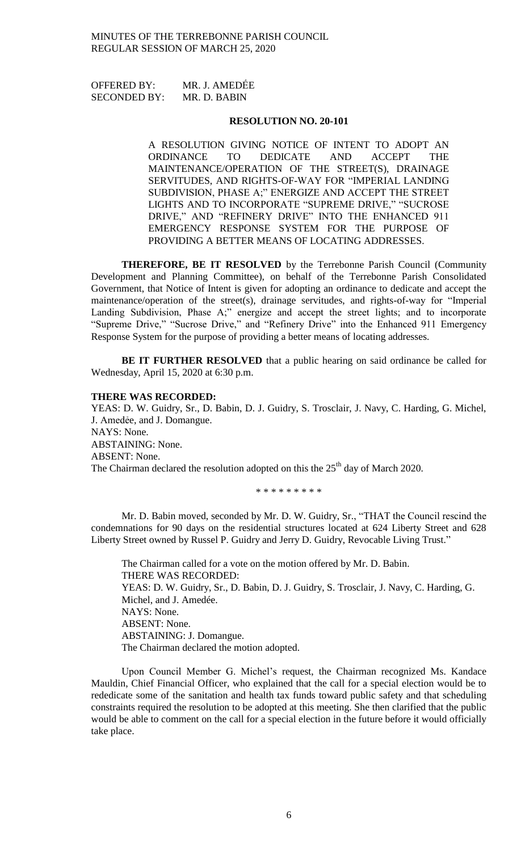OFFERED BY: MR. J. AMEDẾE SECONDED BY: MR. D. BABIN

## **RESOLUTION NO. 20-101**

A RESOLUTION GIVING NOTICE OF INTENT TO ADOPT AN ORDINANCE TO DEDICATE AND ACCEPT THE MAINTENANCE/OPERATION OF THE STREET(S), DRAINAGE SERVITUDES, AND RIGHTS-OF-WAY FOR "IMPERIAL LANDING SUBDIVISION, PHASE A;" ENERGIZE AND ACCEPT THE STREET LIGHTS AND TO INCORPORATE "SUPREME DRIVE," "SUCROSE DRIVE," AND "REFINERY DRIVE" INTO THE ENHANCED 911 EMERGENCY RESPONSE SYSTEM FOR THE PURPOSE OF PROVIDING A BETTER MEANS OF LOCATING ADDRESSES.

**THEREFORE, BE IT RESOLVED** by the Terrebonne Parish Council (Community Development and Planning Committee), on behalf of the Terrebonne Parish Consolidated Government, that Notice of Intent is given for adopting an ordinance to dedicate and accept the maintenance/operation of the street(s), drainage servitudes, and rights-of-way for "Imperial Landing Subdivision, Phase A;" energize and accept the street lights; and to incorporate "Supreme Drive," "Sucrose Drive," and "Refinery Drive" into the Enhanced 911 Emergency Response System for the purpose of providing a better means of locating addresses.

**BE IT FURTHER RESOLVED** that a public hearing on said ordinance be called for Wednesday, April 15, 2020 at 6:30 p.m.

## **THERE WAS RECORDED:**

YEAS: D. W. Guidry, Sr., D. Babin, D. J. Guidry, S. Trosclair, J. Navy, C. Harding, G. Michel, J. Amedẻe, and J. Domangue. NAYS: None. ABSTAINING: None. ABSENT: None. The Chairman declared the resolution adopted on this the  $25<sup>th</sup>$  day of March 2020.

\* \* \* \* \* \* \* \* \*

Mr. D. Babin moved, seconded by Mr. D. W. Guidry, Sr., "THAT the Council rescind the condemnations for 90 days on the residential structures located at 624 Liberty Street and 628 Liberty Street owned by Russel P. Guidry and Jerry D. Guidry, Revocable Living Trust."

The Chairman called for a vote on the motion offered by Mr. D. Babin. THERE WAS RECORDED: YEAS: D. W. Guidry, Sr., D. Babin, D. J. Guidry, S. Trosclair, J. Navy, C. Harding, G. Michel, and J. Amedée. NAYS: None. ABSENT: None. ABSTAINING: J. Domangue. The Chairman declared the motion adopted.

Upon Council Member G. Michel's request, the Chairman recognized Ms. Kandace Mauldin, Chief Financial Officer, who explained that the call for a special election would be to rededicate some of the sanitation and health tax funds toward public safety and that scheduling constraints required the resolution to be adopted at this meeting. She then clarified that the public would be able to comment on the call for a special election in the future before it would officially take place.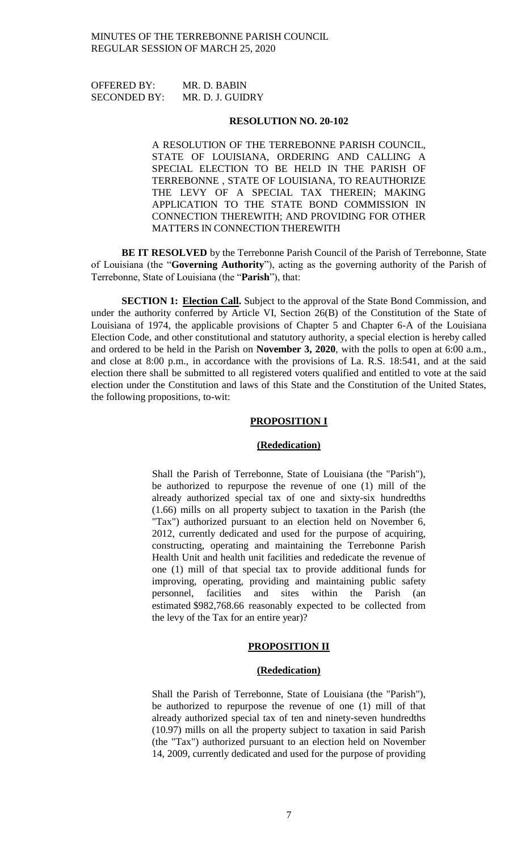| <b>OFFERED BY:</b>  | MR. D. BABIN     |
|---------------------|------------------|
| <b>SECONDED BY:</b> | MR. D. J. GUIDRY |

#### **RESOLUTION NO. 20-102**

A RESOLUTION OF THE TERREBONNE PARISH COUNCIL, STATE OF LOUISIANA, ORDERING AND CALLING A SPECIAL ELECTION TO BE HELD IN THE PARISH OF TERREBONNE , STATE OF LOUISIANA, TO REAUTHORIZE THE LEVY OF A SPECIAL TAX THEREIN; MAKING APPLICATION TO THE STATE BOND COMMISSION IN CONNECTION THEREWITH; AND PROVIDING FOR OTHER MATTERS IN CONNECTION THEREWITH

**BE IT RESOLVED** by the Terrebonne Parish Council of the Parish of Terrebonne, State of Louisiana (the "**Governing Authority**"), acting as the governing authority of the Parish of Terrebonne, State of Louisiana (the "**Parish**"), that:

**SECTION 1: Election Call.** Subject to the approval of the State Bond Commission, and under the authority conferred by Article VI, Section 26(B) of the Constitution of the State of Louisiana of 1974, the applicable provisions of Chapter 5 and Chapter 6-A of the Louisiana Election Code, and other constitutional and statutory authority, a special election is hereby called and ordered to be held in the Parish on **November 3, 2020**, with the polls to open at 6:00 a.m., and close at 8:00 p.m., in accordance with the provisions of La. R.S. 18:541, and at the said election there shall be submitted to all registered voters qualified and entitled to vote at the said election under the Constitution and laws of this State and the Constitution of the United States, the following propositions, to-wit:

### **PROPOSITION I**

### **(Rededication)**

Shall the Parish of Terrebonne, State of Louisiana (the "Parish"), be authorized to repurpose the revenue of one (1) mill of the already authorized special tax of one and sixty-six hundredths (1.66) mills on all property subject to taxation in the Parish (the "Tax") authorized pursuant to an election held on November 6, 2012, currently dedicated and used for the purpose of acquiring, constructing, operating and maintaining the Terrebonne Parish Health Unit and health unit facilities and rededicate the revenue of one (1) mill of that special tax to provide additional funds for improving, operating, providing and maintaining public safety personnel, facilities and sites within the Parish (an estimated \$982,768.66 reasonably expected to be collected from the levy of the Tax for an entire year)?

#### **PROPOSITION II**

### **(Rededication)**

Shall the Parish of Terrebonne, State of Louisiana (the "Parish"), be authorized to repurpose the revenue of one (1) mill of that already authorized special tax of ten and ninety-seven hundredths (10.97) mills on all the property subject to taxation in said Parish (the "Tax") authorized pursuant to an election held on November 14, 2009, currently dedicated and used for the purpose of providing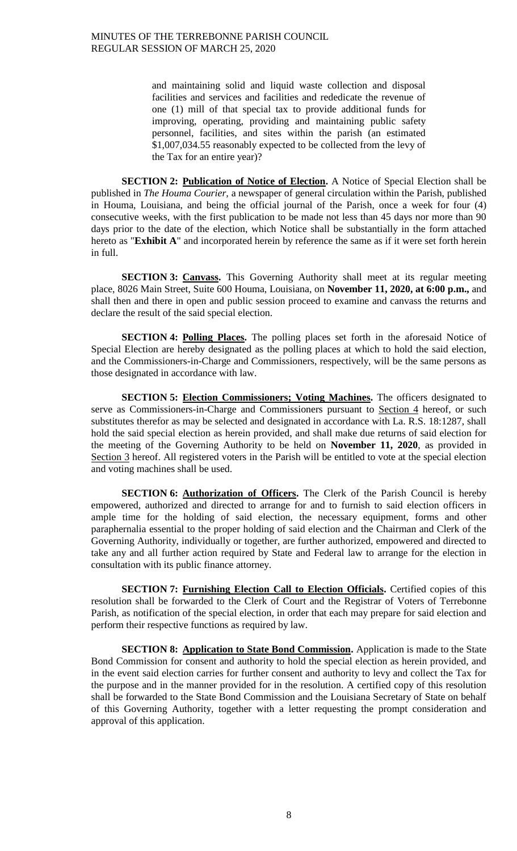and maintaining solid and liquid waste collection and disposal facilities and services and facilities and rededicate the revenue of one (1) mill of that special tax to provide additional funds for improving, operating, providing and maintaining public safety personnel, facilities, and sites within the parish (an estimated \$1,007,034.55 reasonably expected to be collected from the levy of the Tax for an entire year)?

**SECTION 2: Publication of Notice of Election.** A Notice of Special Election shall be published in *The Houma Courier,* a newspaper of general circulation within the Parish, published in Houma, Louisiana, and being the official journal of the Parish, once a week for four (4) consecutive weeks, with the first publication to be made not less than 45 days nor more than 90 days prior to the date of the election, which Notice shall be substantially in the form attached hereto as "**Exhibit A**" and incorporated herein by reference the same as if it were set forth herein in full.

**SECTION 3: Canvass.** This Governing Authority shall meet at its regular meeting place, 8026 Main Street, Suite 600 Houma, Louisiana, on **November 11, 2020, at 6:00 p.m.,** and shall then and there in open and public session proceed to examine and canvass the returns and declare the result of the said special election.

**SECTION 4: Polling Places.** The polling places set forth in the aforesaid Notice of Special Election are hereby designated as the polling places at which to hold the said election, and the Commissioners-in-Charge and Commissioners, respectively, will be the same persons as those designated in accordance with law.

**SECTION 5: Election Commissioners; Voting Machines.** The officers designated to serve as Commissioners-in-Charge and Commissioners pursuant to Section 4 hereof, or such substitutes therefor as may be selected and designated in accordance with La. R.S. 18:1287, shall hold the said special election as herein provided, and shall make due returns of said election for the meeting of the Governing Authority to be held on **November 11, 2020**, as provided in Section 3 hereof. All registered voters in the Parish will be entitled to vote at the special election and voting machines shall be used.

**SECTION 6: Authorization of Officers.** The Clerk of the Parish Council is hereby empowered, authorized and directed to arrange for and to furnish to said election officers in ample time for the holding of said election, the necessary equipment, forms and other paraphernalia essential to the proper holding of said election and the Chairman and Clerk of the Governing Authority, individually or together, are further authorized, empowered and directed to take any and all further action required by State and Federal law to arrange for the election in consultation with its public finance attorney.

**SECTION 7: Furnishing Election Call to Election Officials.** Certified copies of this resolution shall be forwarded to the Clerk of Court and the Registrar of Voters of Terrebonne Parish, as notification of the special election, in order that each may prepare for said election and perform their respective functions as required by law.

**SECTION 8: Application to State Bond Commission.** Application is made to the State Bond Commission for consent and authority to hold the special election as herein provided, and in the event said election carries for further consent and authority to levy and collect the Tax for the purpose and in the manner provided for in the resolution. A certified copy of this resolution shall be forwarded to the State Bond Commission and the Louisiana Secretary of State on behalf of this Governing Authority, together with a letter requesting the prompt consideration and approval of this application.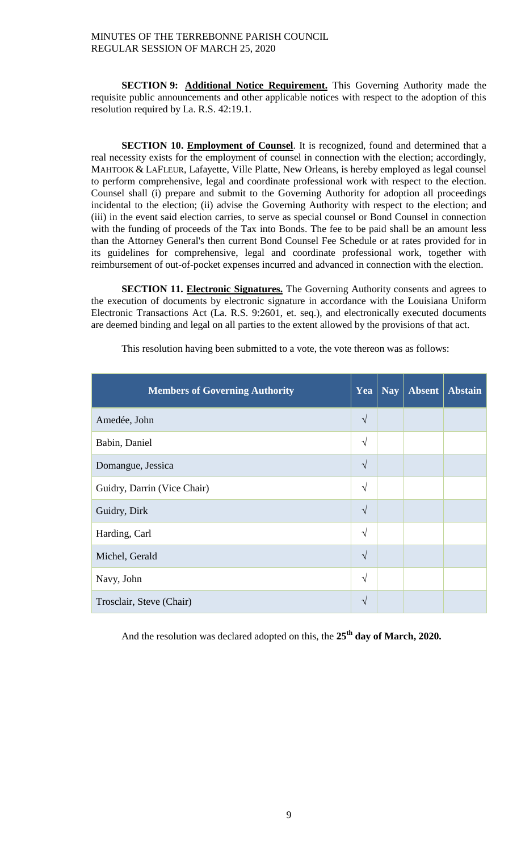**SECTION 9: Additional Notice Requirement.** This Governing Authority made the requisite public announcements and other applicable notices with respect to the adoption of this resolution required by La. R.S. 42:19.1.

**SECTION 10. Employment of Counsel**. It is recognized, found and determined that a real necessity exists for the employment of counsel in connection with the election; accordingly, MAHTOOK & LAFLEUR, Lafayette, Ville Platte, New Orleans, is hereby employed as legal counsel to perform comprehensive, legal and coordinate professional work with respect to the election. Counsel shall (i) prepare and submit to the Governing Authority for adoption all proceedings incidental to the election; (ii) advise the Governing Authority with respect to the election; and (iii) in the event said election carries, to serve as special counsel or Bond Counsel in connection with the funding of proceeds of the Tax into Bonds. The fee to be paid shall be an amount less than the Attorney General's then current Bond Counsel Fee Schedule or at rates provided for in its guidelines for comprehensive, legal and coordinate professional work, together with reimbursement of out-of-pocket expenses incurred and advanced in connection with the election.

**SECTION 11. Electronic Signatures.** The Governing Authority consents and agrees to the execution of documents by electronic signature in accordance with the Louisiana Uniform Electronic Transactions Act (La. R.S. 9:2601, et. seq.), and electronically executed documents are deemed binding and legal on all parties to the extent allowed by the provisions of that act.

| <b>Members of Governing Authority</b> | Yea        | <b>Nay</b> | <b>Absent</b> | <b>Abstain</b> |
|---------------------------------------|------------|------------|---------------|----------------|
| Amedée, John                          | $\sqrt{ }$ |            |               |                |
| Babin, Daniel                         | $\sqrt{ }$ |            |               |                |
| Domangue, Jessica                     | $\sqrt{ }$ |            |               |                |
| Guidry, Darrin (Vice Chair)           | $\sqrt{ }$ |            |               |                |
| Guidry, Dirk                          | $\sqrt{ }$ |            |               |                |
| Harding, Carl                         | $\sqrt{ }$ |            |               |                |
| Michel, Gerald                        | $\sqrt{ }$ |            |               |                |
| Navy, John                            | $\sqrt{ }$ |            |               |                |
| Trosclair, Steve (Chair)              | V          |            |               |                |

This resolution having been submitted to a vote, the vote thereon was as follows:

And the resolution was declared adopted on this, the **25th day of March, 2020.**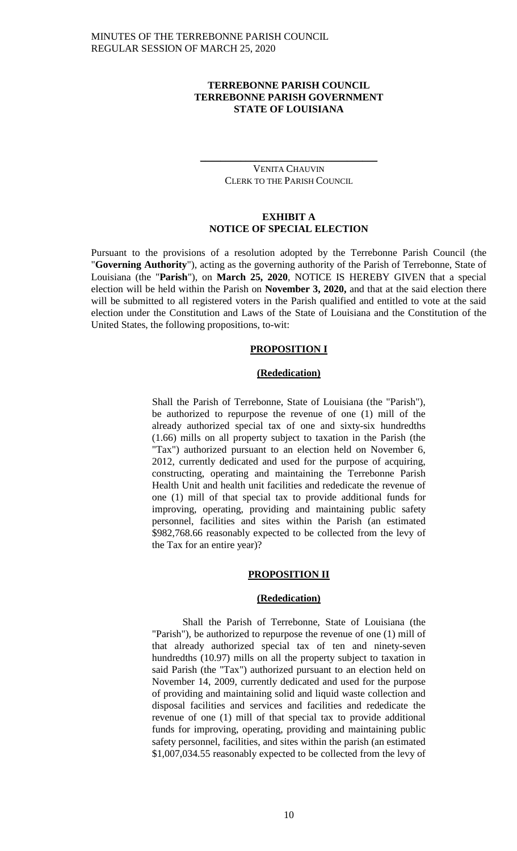# **TERREBONNE PARISH COUNCIL TERREBONNE PARISH GOVERNMENT STATE OF LOUISIANA**

## VENITA CHAUVIN CLERK TO THE PARISH COUNCIL

 $\_$ 

# **EXHIBIT A NOTICE OF SPECIAL ELECTION**

Pursuant to the provisions of a resolution adopted by the Terrebonne Parish Council (the "**Governing Authority**"), acting as the governing authority of the Parish of Terrebonne, State of Louisiana (the "**Parish**"), on **March 25, 2020**, NOTICE IS HEREBY GIVEN that a special election will be held within the Parish on **November 3, 2020,** and that at the said election there will be submitted to all registered voters in the Parish qualified and entitled to vote at the said election under the Constitution and Laws of the State of Louisiana and the Constitution of the United States, the following propositions, to-wit:

## **PROPOSITION I**

## **(Rededication)**

Shall the Parish of Terrebonne, State of Louisiana (the "Parish"), be authorized to repurpose the revenue of one (1) mill of the already authorized special tax of one and sixty-six hundredths (1.66) mills on all property subject to taxation in the Parish (the "Tax") authorized pursuant to an election held on November 6, 2012, currently dedicated and used for the purpose of acquiring, constructing, operating and maintaining the Terrebonne Parish Health Unit and health unit facilities and rededicate the revenue of one (1) mill of that special tax to provide additional funds for improving, operating, providing and maintaining public safety personnel, facilities and sites within the Parish (an estimated \$982,768.66 reasonably expected to be collected from the levy of the Tax for an entire year)?

# **PROPOSITION II**

### **(Rededication)**

Shall the Parish of Terrebonne, State of Louisiana (the "Parish"), be authorized to repurpose the revenue of one (1) mill of that already authorized special tax of ten and ninety-seven hundredths (10.97) mills on all the property subject to taxation in said Parish (the "Tax") authorized pursuant to an election held on November 14, 2009, currently dedicated and used for the purpose of providing and maintaining solid and liquid waste collection and disposal facilities and services and facilities and rededicate the revenue of one (1) mill of that special tax to provide additional funds for improving, operating, providing and maintaining public safety personnel, facilities, and sites within the parish (an estimated \$1,007,034.55 reasonably expected to be collected from the levy of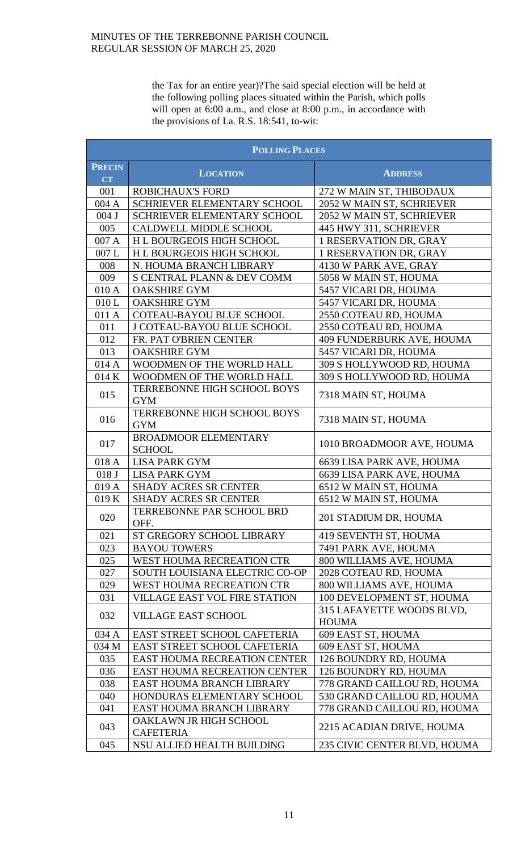the Tax for an entire year)?The said special election will be held at the following polling places situated within the Parish, which polls will open at 6:00 a.m., and close at 8:00 p.m., in accordance with the provisions of La. R.S. 18:541, to-wit:

| <b>POLLING PLACES</b> |                                              |                                           |
|-----------------------|----------------------------------------------|-------------------------------------------|
| <b>PRECIN</b>         | <b>LOCATION</b>                              | <b>ADDRESS</b>                            |
| <b>CT</b><br>001      | <b>ROBICHAUX'S FORD</b>                      | 272 W MAIN ST, THIBODAUX                  |
| 004 A                 | SCHRIEVER ELEMENTARY SCHOOL                  | 2052 W MAIN ST, SCHRIEVER                 |
| 004 J                 | SCHRIEVER ELEMENTARY SCHOOL                  | 2052 W MAIN ST, SCHRIEVER                 |
| 005                   | <b>CALDWELL MIDDLE SCHOOL</b>                | 445 HWY 311, SCHRIEVER                    |
| 007 A                 | H L BOURGEOIS HIGH SCHOOL                    | 1 RESERVATION DR, GRAY                    |
| 007L                  | H L BOURGEOIS HIGH SCHOOL                    | 1 RESERVATION DR, GRAY                    |
| 008                   | N. HOUMA BRANCH LIBRARY                      | 4130 W PARK AVE, GRAY                     |
| 009                   | S CENTRAL PLANN & DEV COMM                   | 5058 W MAIN ST, HOUMA                     |
| 010 A                 | <b>OAKSHIRE GYM</b>                          | 5457 VICARI DR, HOUMA                     |
| 010L                  | <b>OAKSHIRE GYM</b>                          | 5457 VICARI DR, HOUMA                     |
| 011 A                 | <b>COTEAU-BAYOU BLUE SCHOOL</b>              | 2550 COTEAU RD, HOUMA                     |
| 011                   | <b>J COTEAU-BAYOU BLUE SCHOOL</b>            | 2550 COTEAU RD, HOUMA                     |
| 012                   | FR. PAT O'BRIEN CENTER                       | 409 FUNDERBURK AVE, HOUMA                 |
| 013                   | <b>OAKSHIRE GYM</b>                          | 5457 VICARI DR, HOUMA                     |
| 014 A                 | WOODMEN OF THE WORLD HALL                    | 309 S HOLLYWOOD RD, HOUMA                 |
| 014 K                 | WOODMEN OF THE WORLD HALL                    | 309 S HOLLYWOOD RD, HOUMA                 |
|                       | TERREBONNE HIGH SCHOOL BOYS                  |                                           |
| 015                   | <b>GYM</b>                                   | 7318 MAIN ST, HOUMA                       |
| 016                   | TERREBONNE HIGH SCHOOL BOYS<br><b>GYM</b>    | 7318 MAIN ST, HOUMA                       |
| 017                   | <b>BROADMOOR ELEMENTARY</b><br><b>SCHOOL</b> | 1010 BROADMOOR AVE, HOUMA                 |
| 018 A                 | <b>LISA PARK GYM</b>                         | 6639 LISA PARK AVE, HOUMA                 |
| 018 J                 | <b>LISA PARK GYM</b>                         | 6639 LISA PARK AVE, HOUMA                 |
| 019 A                 | <b>SHADY ACRES SR CENTER</b>                 | 6512 W MAIN ST, HOUMA                     |
| 019K                  | <b>SHADY ACRES SR CENTER</b>                 | 6512 W MAIN ST, HOUMA                     |
| 020                   | <b>TERREBONNE PAR SCHOOL BRD</b><br>OFF.     | 201 STADIUM DR, HOUMA                     |
| 021                   | ST GREGORY SCHOOL LIBRARY                    | 419 SEVENTH ST, HOUMA                     |
| 023                   | <b>BAYOU TOWERS</b>                          | 7491 PARK AVE, HOUMA                      |
| 025                   | WEST HOUMA RECREATION CTR                    | 800 WILLIAMS AVE, HOUMA                   |
| 027                   | SOUTH LOUISIANA ELECTRIC CO-OP               | 2028 COTEAU RD, HOUMA                     |
| 029                   | WEST HOUMA RECREATION CTR                    | 800 WILLIAMS AVE, HOUMA                   |
| 031                   | <b>VILLAGE EAST VOL FIRE STATION</b>         | 100 DEVELOPMENT ST, HOUMA                 |
| 032                   | <b>VILLAGE EAST SCHOOL</b>                   | 315 LAFAYETTE WOODS BLVD,<br><b>HOUMA</b> |
| 034 A                 | EAST STREET SCHOOL CAFETERIA                 | 609 EAST ST, HOUMA                        |
| 034 M                 | EAST STREET SCHOOL CAFETERIA                 | 609 EAST ST, HOUMA                        |
| 035                   | <b>EAST HOUMA RECREATION CENTER</b>          | 126 BOUNDRY RD, HOUMA                     |
| 036                   | <b>EAST HOUMA RECREATION CENTER</b>          | 126 BOUNDRY RD, HOUMA                     |
| 038                   | EAST HOUMA BRANCH LIBRARY                    | 778 GRAND CAILLOU RD, HOUMA               |
| 040                   | HONDURAS ELEMENTARY SCHOOL                   | 530 GRAND CAILLOU RD, HOUMA               |
| 041                   | EAST HOUMA BRANCH LIBRARY                    | 778 GRAND CAILLOU RD, HOUMA               |
| 043                   | OAKLAWN JR HIGH SCHOOL<br><b>CAFETERIA</b>   | 2215 ACADIAN DRIVE, HOUMA                 |
| 045                   | NSU ALLIED HEALTH BUILDING                   | 235 CIVIC CENTER BLVD, HOUMA              |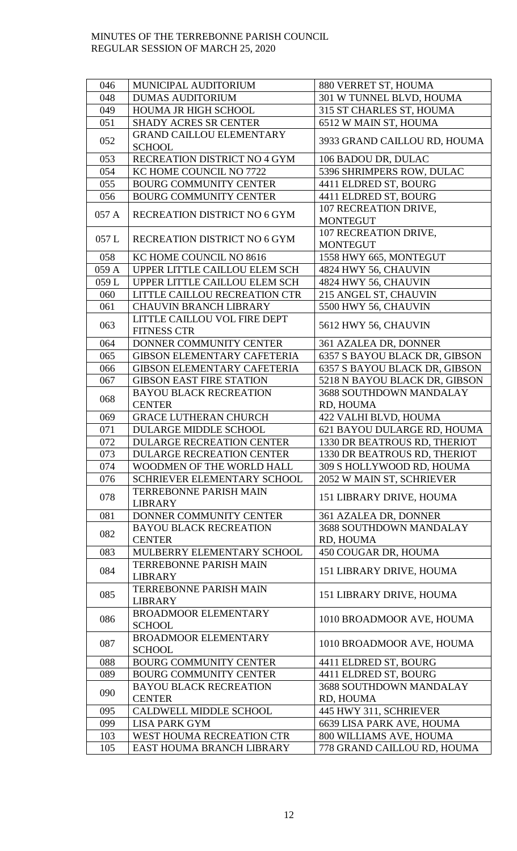| 046   | MUNICIPAL AUDITORIUM                            | 880 VERRET ST, HOUMA                     |
|-------|-------------------------------------------------|------------------------------------------|
| 048   | <b>DUMAS AUDITORIUM</b>                         | 301 W TUNNEL BLVD, HOUMA                 |
|       |                                                 |                                          |
| 049   | HOUMA JR HIGH SCHOOL                            | 315 ST CHARLES ST, HOUMA                 |
| 051   | <b>SHADY ACRES SR CENTER</b>                    | 6512 W MAIN ST, HOUMA                    |
| 052   | <b>GRAND CAILLOU ELEMENTARY</b>                 | 3933 GRAND CAILLOU RD, HOUMA             |
|       | <b>SCHOOL</b>                                   |                                          |
| 053   | RECREATION DISTRICT NO 4 GYM                    | 106 BADOU DR, DULAC                      |
| 054   | KC HOME COUNCIL NO 7722                         | 5396 SHRIMPERS ROW, DULAC                |
| 055   | <b>BOURG COMMUNITY CENTER</b>                   | 4411 ELDRED ST, BOURG                    |
| 056   | <b>BOURG COMMUNITY CENTER</b>                   | 4411 ELDRED ST, BOURG                    |
| 057 A | RECREATION DISTRICT NO 6 GYM                    | 107 RECREATION DRIVE,<br><b>MONTEGUT</b> |
| 057L  | RECREATION DISTRICT NO 6 GYM                    | 107 RECREATION DRIVE,<br><b>MONTEGUT</b> |
| 058   | KC HOME COUNCIL NO 8616                         | 1558 HWY 665, MONTEGUT                   |
| 059 A | UPPER LITTLE CAILLOU ELEM SCH                   | 4824 HWY 56, CHAUVIN                     |
| 059L  | UPPER LITTLE CAILLOU ELEM SCH                   | 4824 HWY 56, CHAUVIN                     |
| 060   | LITTLE CAILLOU RECREATION CTR                   | 215 ANGEL ST, CHAUVIN                    |
| 061   | <b>CHAUVIN BRANCH LIBRARY</b>                   | 5500 HWY 56, CHAUVIN                     |
|       | LITTLE CAILLOU VOL FIRE DEPT                    |                                          |
| 063   | <b>FITNESS CTR</b>                              | 5612 HWY 56, CHAUVIN                     |
| 064   | DONNER COMMUNITY CENTER                         | 361 AZALEA DR, DONNER                    |
| 065   | <b>GIBSON ELEMENTARY CAFETERIA</b>              | 6357 S BAYOU BLACK DR, GIBSON            |
| 066   | <b>GIBSON ELEMENTARY CAFETERIA</b>              | 6357 S BAYOU BLACK DR, GIBSON            |
| 067   | <b>GIBSON EAST FIRE STATION</b>                 | 5218 N BAYOU BLACK DR, GIBSON            |
|       | <b>BAYOU BLACK RECREATION</b>                   | 3688 SOUTHDOWN MANDALAY                  |
| 068   | <b>CENTER</b>                                   | RD, HOUMA                                |
| 069   | <b>GRACE LUTHERAN CHURCH</b>                    | 422 VALHI BLVD, HOUMA                    |
| 071   | <b>DULARGE MIDDLE SCHOOL</b>                    | 621 BAYOU DULARGE RD, HOUMA              |
| 072   | <b>DULARGE RECREATION CENTER</b>                | 1330 DR BEATROUS RD, THERIOT             |
| 073   | <b>DULARGE RECREATION CENTER</b>                | 1330 DR BEATROUS RD, THERIOT             |
| 074   | WOODMEN OF THE WORLD HALL                       | 309 S HOLLYWOOD RD, HOUMA                |
| 076   | SCHRIEVER ELEMENTARY SCHOOL                     | 2052 W MAIN ST, SCHRIEVER                |
| 078   | <b>TERREBONNE PARISH MAIN</b><br><b>LIBRARY</b> | 151 LIBRARY DRIVE, HOUMA                 |
| 081   | DONNER COMMUNITY CENTER                         | 361 AZALEA DR, DONNER                    |
|       | <b>BAYOU BLACK RECREATION</b>                   | <b>3688 SOUTHDOWN MANDALAY</b>           |
| 082   | <b>CENTER</b>                                   | RD, HOUMA                                |
| 083   | MULBERRY ELEMENTARY SCHOOL                      | 450 COUGAR DR, HOUMA                     |
| 084   | <b>TERREBONNE PARISH MAIN</b><br><b>LIBRARY</b> | 151 LIBRARY DRIVE, HOUMA                 |
| 085   | <b>TERREBONNE PARISH MAIN</b><br><b>LIBRARY</b> | 151 LIBRARY DRIVE, HOUMA                 |
| 086   | <b>BROADMOOR ELEMENTARY</b><br><b>SCHOOL</b>    | 1010 BROADMOOR AVE, HOUMA                |
| 087   | <b>BROADMOOR ELEMENTARY</b><br><b>SCHOOL</b>    | 1010 BROADMOOR AVE, HOUMA                |
| 088   | <b>BOURG COMMUNITY CENTER</b>                   | 4411 ELDRED ST, BOURG                    |
| 089   | <b>BOURG COMMUNITY CENTER</b>                   | 4411 ELDRED ST, BOURG                    |
|       | <b>BAYOU BLACK RECREATION</b>                   | 3688 SOUTHDOWN MANDALAY                  |
| 090   | <b>CENTER</b>                                   | RD, HOUMA                                |
| 095   | <b>CALDWELL MIDDLE SCHOOL</b>                   | 445 HWY 311, SCHRIEVER                   |
| 099   | <b>LISA PARK GYM</b>                            | 6639 LISA PARK AVE, HOUMA                |
| 103   | <b>WEST HOUMA RECREATION CTR</b>                | 800 WILLIAMS AVE, HOUMA                  |
| 105   | EAST HOUMA BRANCH LIBRARY                       | 778 GRAND CAILLOU RD, HOUMA              |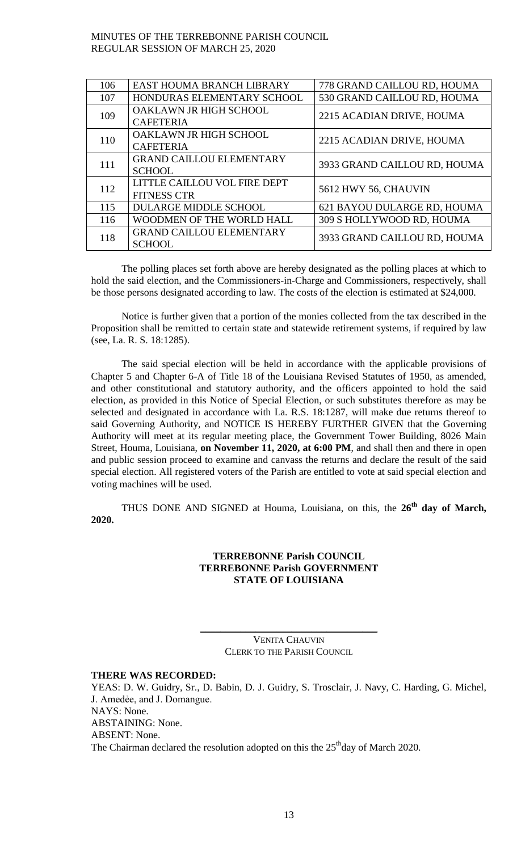| EAST HOUMA BRANCH LIBRARY       | 778 GRAND CAILLOU RD, HOUMA  |  |
|---------------------------------|------------------------------|--|
| HONDURAS ELEMENTARY SCHOOL      | 530 GRAND CAILLOU RD, HOUMA  |  |
| OAKLAWN JR HIGH SCHOOL          |                              |  |
| <b>CAFETERIA</b>                | 2215 ACADIAN DRIVE, HOUMA    |  |
| OAKLAWN JR HIGH SCHOOL          |                              |  |
| <b>CAFETERIA</b>                | 2215 ACADIAN DRIVE, HOUMA    |  |
| <b>GRAND CAILLOU ELEMENTARY</b> |                              |  |
| <b>SCHOOL</b>                   | 3933 GRAND CAILLOU RD, HOUMA |  |
| LITTLE CAILLOU VOL FIRE DEPT    |                              |  |
| <b>FITNESS CTR</b>              | 5612 HWY 56, CHAUVIN         |  |
| <b>DULARGE MIDDLE SCHOOL</b>    | 621 BAYOU DULARGE RD, HOUMA  |  |
| WOODMEN OF THE WORLD HALL       | 309 S HOLLYWOOD RD, HOUMA    |  |
| <b>GRAND CAILLOU ELEMENTARY</b> | 3933 GRAND CAILLOU RD, HOUMA |  |
| <b>SCHOOL</b>                   |                              |  |
|                                 |                              |  |

The polling places set forth above are hereby designated as the polling places at which to hold the said election, and the Commissioners-in-Charge and Commissioners, respectively, shall be those persons designated according to law. The costs of the election is estimated at \$24,000.

Notice is further given that a portion of the monies collected from the tax described in the Proposition shall be remitted to certain state and statewide retirement systems, if required by law (see, La. R. S. 18:1285).

The said special election will be held in accordance with the applicable provisions of Chapter 5 and Chapter 6-A of Title 18 of the Louisiana Revised Statutes of 1950, as amended, and other constitutional and statutory authority, and the officers appointed to hold the said election, as provided in this Notice of Special Election, or such substitutes therefore as may be selected and designated in accordance with La. R.S. 18:1287, will make due returns thereof to said Governing Authority, and NOTICE IS HEREBY FURTHER GIVEN that the Governing Authority will meet at its regular meeting place, the Government Tower Building, 8026 Main Street, Houma, Louisiana, **on November 11, 2020, at 6:00 PM**, and shall then and there in open and public session proceed to examine and canvass the returns and declare the result of the said special election. All registered voters of the Parish are entitled to vote at said special election and voting machines will be used.

THUS DONE AND SIGNED at Houma, Louisiana, on this, the **26th day of March, 2020.**

## **TERREBONNE Parish COUNCIL TERREBONNE Parish GOVERNMENT STATE OF LOUISIANA**

VENITA CHAUVIN CLERK TO THE PARISH COUNCIL

 $\_$ 

# **THERE WAS RECORDED:**

YEAS: D. W. Guidry, Sr., D. Babin, D. J. Guidry, S. Trosclair, J. Navy, C. Harding, G. Michel, J. Amedẻe, and J. Domangue. NAYS: None. ABSTAINING: None. ABSENT: None. The Chairman declared the resolution adopted on this the  $25<sup>th</sup>$ day of March 2020.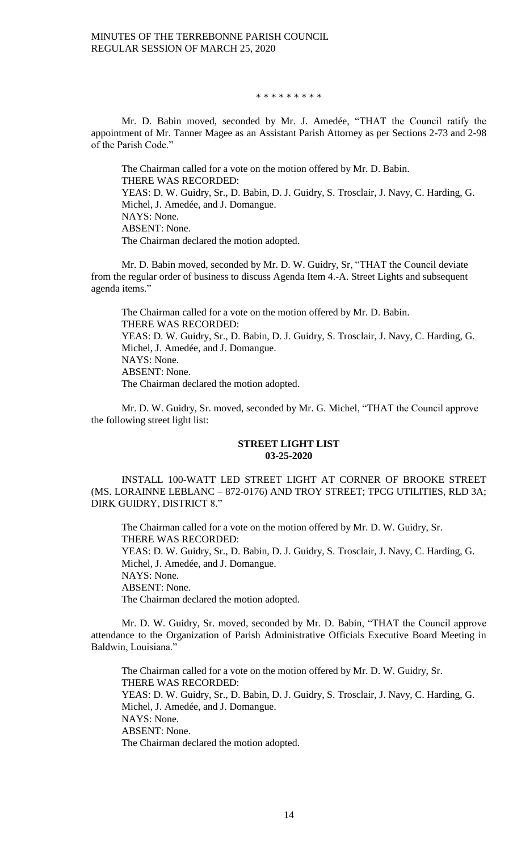#### \* \* \* \* \* \* \* \* \*

Mr. D. Babin moved, seconded by Mr. J. Amedée, "THAT the Council ratify the appointment of Mr. Tanner Magee as an Assistant Parish Attorney as per Sections 2-73 and 2-98 of the Parish Code."

The Chairman called for a vote on the motion offered by Mr. D. Babin. THERE WAS RECORDED: YEAS: D. W. Guidry, Sr., D. Babin, D. J. Guidry, S. Trosclair, J. Navy, C. Harding, G. Michel, J. Amedée, and J. Domangue. NAYS: None. ABSENT: None. The Chairman declared the motion adopted.

Mr. D. Babin moved, seconded by Mr. D. W. Guidry, Sr, "THAT the Council deviate from the regular order of business to discuss Agenda Item 4.-A. Street Lights and subsequent agenda items."

The Chairman called for a vote on the motion offered by Mr. D. Babin. THERE WAS RECORDED: YEAS: D. W. Guidry, Sr., D. Babin, D. J. Guidry, S. Trosclair, J. Navy, C. Harding, G. Michel, J. Amedée, and J. Domangue. NAYS: None. ABSENT: None. The Chairman declared the motion adopted.

Mr. D. W. Guidry, Sr. moved, seconded by Mr. G. Michel, "THAT the Council approve the following street light list:

### **STREET LIGHT LIST 03-25-2020**

INSTALL 100-WATT LED STREET LIGHT AT CORNER OF BROOKE STREET (MS. LORAINNE LEBLANC – 872-0176) AND TROY STREET; TPCG UTILITIES, RLD 3A; DIRK GUIDRY, DISTRICT 8."

The Chairman called for a vote on the motion offered by Mr. D. W. Guidry, Sr. THERE WAS RECORDED: YEAS: D. W. Guidry, Sr., D. Babin, D. J. Guidry, S. Trosclair, J. Navy, C. Harding, G. Michel, J. Amedée, and J. Domangue. NAYS: None. ABSENT: None. The Chairman declared the motion adopted.

Mr. D. W. Guidry, Sr. moved, seconded by Mr. D. Babin, "THAT the Council approve attendance to the Organization of Parish Administrative Officials Executive Board Meeting in Baldwin, Louisiana."

The Chairman called for a vote on the motion offered by Mr. D. W. Guidry, Sr. THERE WAS RECORDED: YEAS: D. W. Guidry, Sr., D. Babin, D. J. Guidry, S. Trosclair, J. Navy, C. Harding, G. Michel, J. Amedée, and J. Domangue. NAYS: None. ABSENT: None. The Chairman declared the motion adopted.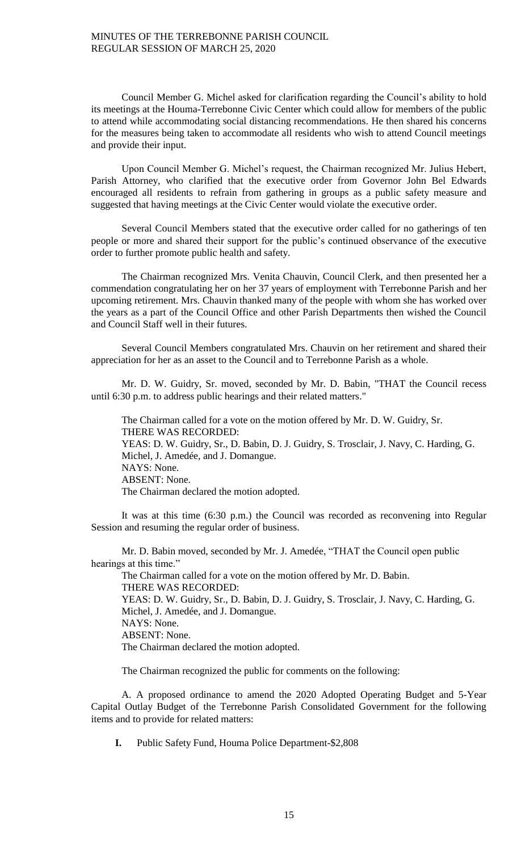Council Member G. Michel asked for clarification regarding the Council's ability to hold its meetings at the Houma-Terrebonne Civic Center which could allow for members of the public to attend while accommodating social distancing recommendations. He then shared his concerns for the measures being taken to accommodate all residents who wish to attend Council meetings and provide their input.

Upon Council Member G. Michel's request, the Chairman recognized Mr. Julius Hebert, Parish Attorney, who clarified that the executive order from Governor John Bel Edwards encouraged all residents to refrain from gathering in groups as a public safety measure and suggested that having meetings at the Civic Center would violate the executive order.

Several Council Members stated that the executive order called for no gatherings of ten people or more and shared their support for the public's continued observance of the executive order to further promote public health and safety.

The Chairman recognized Mrs. Venita Chauvin, Council Clerk, and then presented her a commendation congratulating her on her 37 years of employment with Terrebonne Parish and her upcoming retirement. Mrs. Chauvin thanked many of the people with whom she has worked over the years as a part of the Council Office and other Parish Departments then wished the Council and Council Staff well in their futures.

Several Council Members congratulated Mrs. Chauvin on her retirement and shared their appreciation for her as an asset to the Council and to Terrebonne Parish as a whole.

Mr. D. W. Guidry, Sr. moved, seconded by Mr. D. Babin, "THAT the Council recess until 6:30 p.m. to address public hearings and their related matters."

The Chairman called for a vote on the motion offered by Mr. D. W. Guidry, Sr. THERE WAS RECORDED: YEAS: D. W. Guidry, Sr., D. Babin, D. J. Guidry, S. Trosclair, J. Navy, C. Harding, G. Michel, J. Amedée, and J. Domangue. NAYS: None. ABSENT: None. The Chairman declared the motion adopted.

It was at this time (6:30 p.m.) the Council was recorded as reconvening into Regular Session and resuming the regular order of business.

Mr. D. Babin moved, seconded by Mr. J. Amedée, "THAT the Council open public hearings at this time."

The Chairman called for a vote on the motion offered by Mr. D. Babin. THERE WAS RECORDED: YEAS: D. W. Guidry, Sr., D. Babin, D. J. Guidry, S. Trosclair, J. Navy, C. Harding, G. Michel, J. Amedée, and J. Domangue. NAYS: None. ABSENT: None. The Chairman declared the motion adopted.

The Chairman recognized the public for comments on the following:

A. A proposed ordinance to amend the 2020 Adopted Operating Budget and 5-Year Capital Outlay Budget of the Terrebonne Parish Consolidated Government for the following items and to provide for related matters:

**I.** Public Safety Fund, Houma Police Department-\$2,808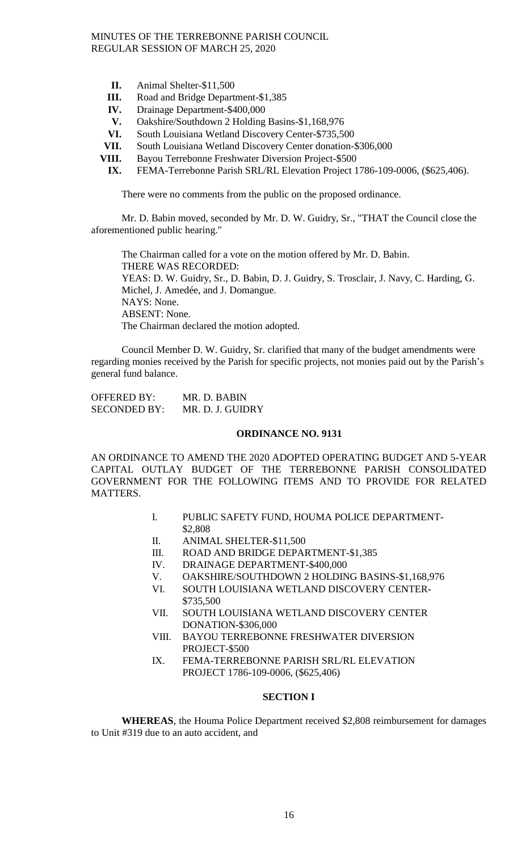- **II.** Animal Shelter-\$11,500
- **III.** Road and Bridge Department-\$1,385
- **IV.** Drainage Department-\$400,000
- **V.** Oakshire/Southdown 2 Holding Basins-\$1,168,976
- **VI.** South Louisiana Wetland Discovery Center-\$735,500
- **VII.** South Louisiana Wetland Discovery Center donation-\$306,000
- **VIII.** Bayou Terrebonne Freshwater Diversion Project-\$500
- **IX.** FEMA-Terrebonne Parish SRL/RL Elevation Project 1786-109-0006, (\$625,406).

There were no comments from the public on the proposed ordinance.

Mr. D. Babin moved, seconded by Mr. D. W. Guidry, Sr., "THAT the Council close the aforementioned public hearing."

The Chairman called for a vote on the motion offered by Mr. D. Babin. THERE WAS RECORDED: YEAS: D. W. Guidry, Sr., D. Babin, D. J. Guidry, S. Trosclair, J. Navy, C. Harding, G. Michel, J. Amedée, and J. Domangue. NAYS: None. ABSENT: None. The Chairman declared the motion adopted.

Council Member D. W. Guidry, Sr. clarified that many of the budget amendments were regarding monies received by the Parish for specific projects, not monies paid out by the Parish's general fund balance.

| <b>OFFERED BY:</b>  | MR. D. BABIN     |
|---------------------|------------------|
| <b>SECONDED BY:</b> | MR. D. J. GUIDRY |

#### **ORDINANCE NO. 9131**

AN ORDINANCE TO AMEND THE 2020 ADOPTED OPERATING BUDGET AND 5-YEAR CAPITAL OUTLAY BUDGET OF THE TERREBONNE PARISH CONSOLIDATED GOVERNMENT FOR THE FOLLOWING ITEMS AND TO PROVIDE FOR RELATED MATTERS.

- I. PUBLIC SAFETY FUND, HOUMA POLICE DEPARTMENT- \$2,808
- II. ANIMAL SHELTER-\$11,500
- III. ROAD AND BRIDGE DEPARTMENT-\$1,385
- IV. DRAINAGE DEPARTMENT-\$400,000
- V. OAKSHIRE/SOUTHDOWN 2 HOLDING BASINS-\$1,168,976
- VI. SOUTH LOUISIANA WETLAND DISCOVERY CENTER- \$735,500
- VII. SOUTH LOUISIANA WETLAND DISCOVERY CENTER DONATION-\$306,000
- VIII. BAYOU TERREBONNE FRESHWATER DIVERSION PROJECT-\$500
- IX. FEMA-TERREBONNE PARISH SRL/RL ELEVATION PROJECT 1786-109-0006, (\$625,406)

### **SECTION I**

**WHEREAS**, the Houma Police Department received \$2,808 reimbursement for damages to Unit #319 due to an auto accident, and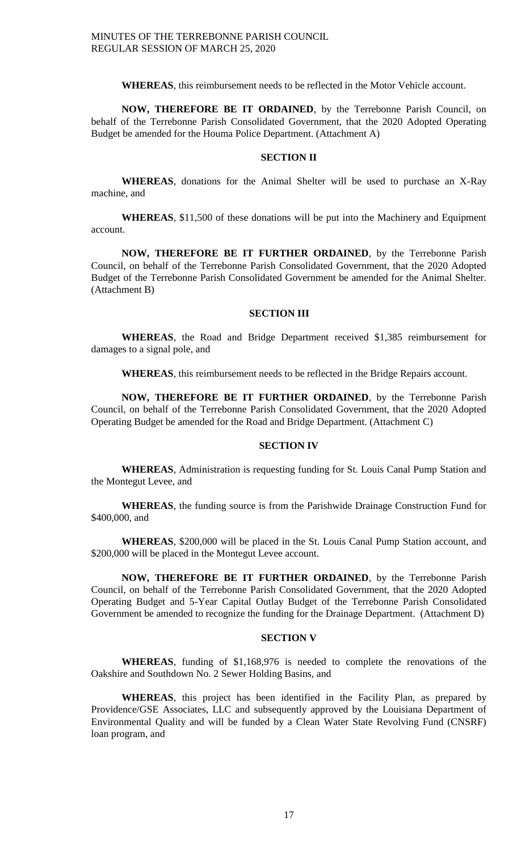**WHEREAS**, this reimbursement needs to be reflected in the Motor Vehicle account.

**NOW, THEREFORE BE IT ORDAINED**, by the Terrebonne Parish Council, on behalf of the Terrebonne Parish Consolidated Government, that the 2020 Adopted Operating Budget be amended for the Houma Police Department. (Attachment A)

# **SECTION II**

**WHEREAS**, donations for the Animal Shelter will be used to purchase an X-Ray machine, and

**WHEREAS**, \$11,500 of these donations will be put into the Machinery and Equipment account.

**NOW, THEREFORE BE IT FURTHER ORDAINED**, by the Terrebonne Parish Council, on behalf of the Terrebonne Parish Consolidated Government, that the 2020 Adopted Budget of the Terrebonne Parish Consolidated Government be amended for the Animal Shelter. (Attachment B)

#### **SECTION III**

**WHEREAS**, the Road and Bridge Department received \$1,385 reimbursement for damages to a signal pole, and

**WHEREAS**, this reimbursement needs to be reflected in the Bridge Repairs account.

**NOW, THEREFORE BE IT FURTHER ORDAINED**, by the Terrebonne Parish Council, on behalf of the Terrebonne Parish Consolidated Government, that the 2020 Adopted Operating Budget be amended for the Road and Bridge Department. (Attachment C)

### **SECTION IV**

**WHEREAS**, Administration is requesting funding for St. Louis Canal Pump Station and the Montegut Levee, and

**WHEREAS**, the funding source is from the Parishwide Drainage Construction Fund for \$400,000, and

**WHEREAS**, \$200,000 will be placed in the St. Louis Canal Pump Station account, and \$200,000 will be placed in the Montegut Levee account.

**NOW, THEREFORE BE IT FURTHER ORDAINED**, by the Terrebonne Parish Council, on behalf of the Terrebonne Parish Consolidated Government, that the 2020 Adopted Operating Budget and 5-Year Capital Outlay Budget of the Terrebonne Parish Consolidated Government be amended to recognize the funding for the Drainage Department. (Attachment D)

# **SECTION V**

**WHEREAS**, funding of \$1,168,976 is needed to complete the renovations of the Oakshire and Southdown No. 2 Sewer Holding Basins, and

**WHEREAS**, this project has been identified in the Facility Plan, as prepared by Providence/GSE Associates, LLC and subsequently approved by the Louisiana Department of Environmental Quality and will be funded by a Clean Water State Revolving Fund (CNSRF) loan program, and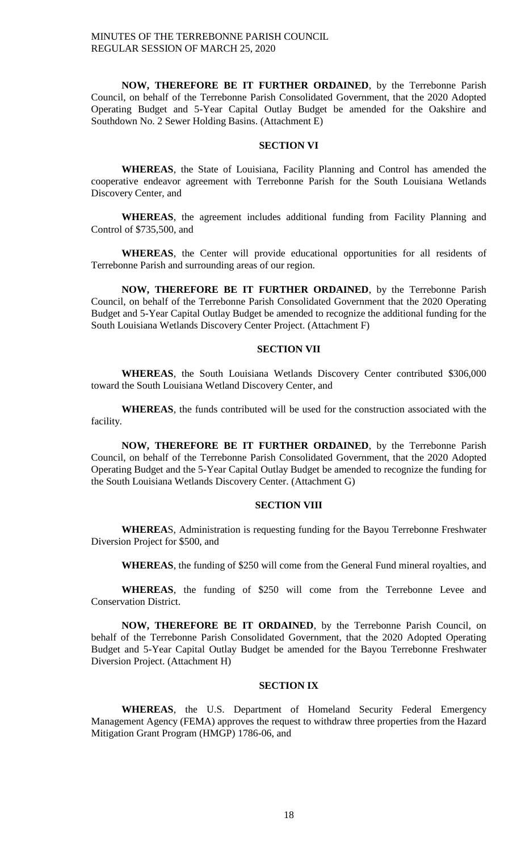**NOW, THEREFORE BE IT FURTHER ORDAINED**, by the Terrebonne Parish Council, on behalf of the Terrebonne Parish Consolidated Government, that the 2020 Adopted Operating Budget and 5-Year Capital Outlay Budget be amended for the Oakshire and Southdown No. 2 Sewer Holding Basins. (Attachment E)

## **SECTION VI**

**WHEREAS**, the State of Louisiana, Facility Planning and Control has amended the cooperative endeavor agreement with Terrebonne Parish for the South Louisiana Wetlands Discovery Center, and

**WHEREAS**, the agreement includes additional funding from Facility Planning and Control of \$735,500, and

**WHEREAS**, the Center will provide educational opportunities for all residents of Terrebonne Parish and surrounding areas of our region.

**NOW, THEREFORE BE IT FURTHER ORDAINED**, by the Terrebonne Parish Council, on behalf of the Terrebonne Parish Consolidated Government that the 2020 Operating Budget and 5-Year Capital Outlay Budget be amended to recognize the additional funding for the South Louisiana Wetlands Discovery Center Project. (Attachment F)

### **SECTION VII**

**WHEREAS**, the South Louisiana Wetlands Discovery Center contributed \$306,000 toward the South Louisiana Wetland Discovery Center, and

**WHEREAS**, the funds contributed will be used for the construction associated with the facility.

**NOW, THEREFORE BE IT FURTHER ORDAINED**, by the Terrebonne Parish Council, on behalf of the Terrebonne Parish Consolidated Government, that the 2020 Adopted Operating Budget and the 5-Year Capital Outlay Budget be amended to recognize the funding for the South Louisiana Wetlands Discovery Center. (Attachment G)

# **SECTION VIII**

**WHEREA**S, Administration is requesting funding for the Bayou Terrebonne Freshwater Diversion Project for \$500, and

**WHEREAS**, the funding of \$250 will come from the General Fund mineral royalties, and

**WHEREAS**, the funding of \$250 will come from the Terrebonne Levee and Conservation District.

**NOW, THEREFORE BE IT ORDAINED**, by the Terrebonne Parish Council, on behalf of the Terrebonne Parish Consolidated Government, that the 2020 Adopted Operating Budget and 5-Year Capital Outlay Budget be amended for the Bayou Terrebonne Freshwater Diversion Project. (Attachment H)

## **SECTION IX**

**WHEREAS**, the U.S. Department of Homeland Security Federal Emergency Management Agency (FEMA) approves the request to withdraw three properties from the Hazard Mitigation Grant Program (HMGP) 1786-06, and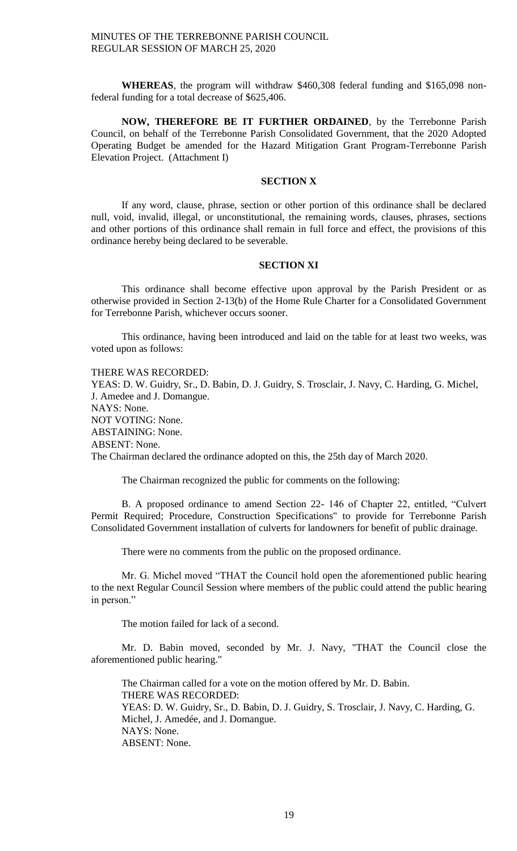**WHEREAS**, the program will withdraw \$460,308 federal funding and \$165,098 nonfederal funding for a total decrease of \$625,406.

**NOW, THEREFORE BE IT FURTHER ORDAINED**, by the Terrebonne Parish Council, on behalf of the Terrebonne Parish Consolidated Government, that the 2020 Adopted Operating Budget be amended for the Hazard Mitigation Grant Program-Terrebonne Parish Elevation Project. (Attachment I)

#### **SECTION X**

If any word, clause, phrase, section or other portion of this ordinance shall be declared null, void, invalid, illegal, or unconstitutional, the remaining words, clauses, phrases, sections and other portions of this ordinance shall remain in full force and effect, the provisions of this ordinance hereby being declared to be severable.

#### **SECTION XI**

This ordinance shall become effective upon approval by the Parish President or as otherwise provided in Section 2-13(b) of the Home Rule Charter for a Consolidated Government for Terrebonne Parish, whichever occurs sooner.

This ordinance, having been introduced and laid on the table for at least two weeks, was voted upon as follows:

THERE WAS RECORDED:

YEAS: D. W. Guidry, Sr., D. Babin, D. J. Guidry, S. Trosclair, J. Navy, C. Harding, G. Michel, J. Amedee and J. Domangue. NAYS: None. NOT VOTING: None. ABSTAINING: None. ABSENT: None. The Chairman declared the ordinance adopted on this, the 25th day of March 2020.

The Chairman recognized the public for comments on the following:

B. A proposed ordinance to amend Section 22- 146 of Chapter 22, entitled, "Culvert Permit Required; Procedure, Construction Specifications" to provide for Terrebonne Parish Consolidated Government installation of culverts for landowners for benefit of public drainage.

There were no comments from the public on the proposed ordinance.

Mr. G. Michel moved "THAT the Council hold open the aforementioned public hearing to the next Regular Council Session where members of the public could attend the public hearing in person."

The motion failed for lack of a second.

Mr. D. Babin moved, seconded by Mr. J. Navy, "THAT the Council close the aforementioned public hearing."

The Chairman called for a vote on the motion offered by Mr. D. Babin. THERE WAS RECORDED: YEAS: D. W. Guidry, Sr., D. Babin, D. J. Guidry, S. Trosclair, J. Navy, C. Harding, G. Michel, J. Amedée, and J. Domangue. NAYS: None. ABSENT: None.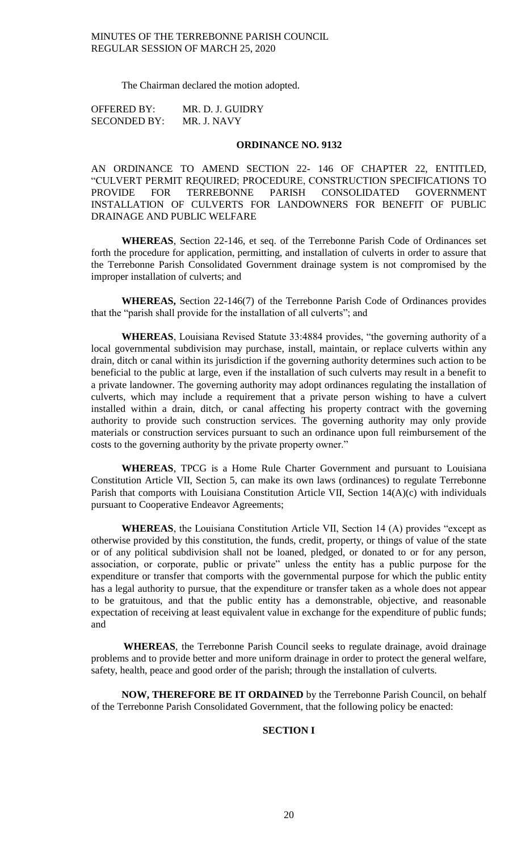The Chairman declared the motion adopted.

| <b>OFFERED BY:</b>  | MR. D. J. GUIDRY |
|---------------------|------------------|
| <b>SECONDED BY:</b> | MR. J. NAVY      |

#### **ORDINANCE NO. 9132**

AN ORDINANCE TO AMEND SECTION 22- 146 OF CHAPTER 22, ENTITLED, "CULVERT PERMIT REQUIRED; PROCEDURE, CONSTRUCTION SPECIFICATIONS TO PROVIDE FOR TERREBONNE PARISH CONSOLIDATED GOVERNMENT INSTALLATION OF CULVERTS FOR LANDOWNERS FOR BENEFIT OF PUBLIC DRAINAGE AND PUBLIC WELFARE

**WHEREAS**, Section 22-146, et seq. of the Terrebonne Parish Code of Ordinances set forth the procedure for application, permitting, and installation of culverts in order to assure that the Terrebonne Parish Consolidated Government drainage system is not compromised by the improper installation of culverts; and

**WHEREAS,** Section 22-146(7) of the Terrebonne Parish Code of Ordinances provides that the "parish shall provide for the installation of all culverts"; and

**WHEREAS**, Louisiana Revised Statute 33:4884 provides, "the governing authority of a local governmental subdivision may purchase, install, maintain, or replace culverts within any drain, ditch or canal within its jurisdiction if the governing authority determines such action to be beneficial to the public at large, even if the installation of such culverts may result in a benefit to a private landowner. The governing authority may adopt ordinances regulating the installation of culverts, which may include a requirement that a private person wishing to have a culvert installed within a drain, ditch, or canal affecting his property contract with the governing authority to provide such construction services. The governing authority may only provide materials or construction services pursuant to such an ordinance upon full reimbursement of the costs to the governing authority by the private property owner."

**WHEREAS**, TPCG is a Home Rule Charter Government and pursuant to Louisiana Constitution Article VII, Section 5, can make its own laws (ordinances) to regulate Terrebonne Parish that comports with Louisiana Constitution Article VII, Section 14(A)(c) with individuals pursuant to Cooperative Endeavor Agreements;

**WHEREAS**, the Louisiana Constitution Article VII, Section 14 (A) provides "except as otherwise provided by this constitution, the funds, credit, property, or things of value of the state or of any political subdivision shall not be loaned, pledged, or donated to or for any person, association, or corporate, public or private" unless the entity has a public purpose for the expenditure or transfer that comports with the governmental purpose for which the public entity has a legal authority to pursue, that the expenditure or transfer taken as a whole does not appear to be gratuitous, and that the public entity has a demonstrable, objective, and reasonable expectation of receiving at least equivalent value in exchange for the expenditure of public funds; and

**WHEREAS**, the Terrebonne Parish Council seeks to regulate drainage, avoid drainage problems and to provide better and more uniform drainage in order to protect the general welfare, safety, health, peace and good order of the parish; through the installation of culverts.

**NOW, THEREFORE BE IT ORDAINED** by the Terrebonne Parish Council, on behalf of the Terrebonne Parish Consolidated Government, that the following policy be enacted:

## **SECTION I**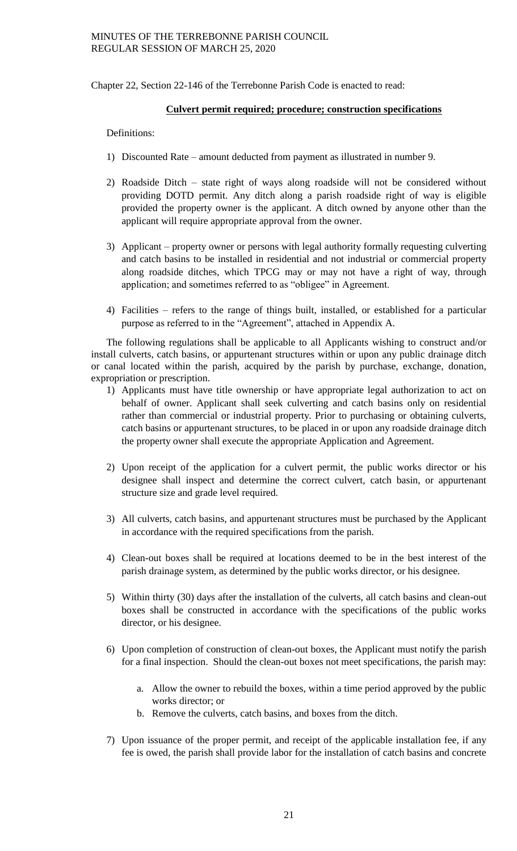Chapter 22, Section 22-146 of the Terrebonne Parish Code is enacted to read:

## **Culvert permit required; procedure; construction specifications**

## Definitions:

- 1) Discounted Rate amount deducted from payment as illustrated in number 9.
- 2) Roadside Ditch state right of ways along roadside will not be considered without providing DOTD permit. Any ditch along a parish roadside right of way is eligible provided the property owner is the applicant. A ditch owned by anyone other than the applicant will require appropriate approval from the owner.
- 3) Applicant property owner or persons with legal authority formally requesting culverting and catch basins to be installed in residential and not industrial or commercial property along roadside ditches, which TPCG may or may not have a right of way, through application; and sometimes referred to as "obligee" in Agreement.
- 4) Facilities refers to the range of things built, installed, or established for a particular purpose as referred to in the "Agreement", attached in Appendix A.

The following regulations shall be applicable to all Applicants wishing to construct and/or install culverts, catch basins, or appurtenant structures within or upon any public drainage ditch or canal located within the parish, acquired by the parish by purchase, exchange, donation, expropriation or prescription.

- 1) Applicants must have title ownership or have appropriate legal authorization to act on behalf of owner. Applicant shall seek culverting and catch basins only on residential rather than commercial or industrial property. Prior to purchasing or obtaining culverts, catch basins or appurtenant structures, to be placed in or upon any roadside drainage ditch the property owner shall execute the appropriate Application and Agreement.
- 2) Upon receipt of the application for a culvert permit, the public works director or his designee shall inspect and determine the correct culvert, catch basin, or appurtenant structure size and grade level required.
- 3) All culverts, catch basins, and appurtenant structures must be purchased by the Applicant in accordance with the required specifications from the parish.
- 4) Clean-out boxes shall be required at locations deemed to be in the best interest of the parish drainage system, as determined by the public works director, or his designee.
- 5) Within thirty (30) days after the installation of the culverts, all catch basins and clean-out boxes shall be constructed in accordance with the specifications of the public works director, or his designee.
- 6) Upon completion of construction of clean-out boxes, the Applicant must notify the parish for a final inspection. Should the clean-out boxes not meet specifications, the parish may:
	- a. Allow the owner to rebuild the boxes, within a time period approved by the public works director; or
	- b. Remove the culverts, catch basins, and boxes from the ditch.
- 7) Upon issuance of the proper permit, and receipt of the applicable installation fee, if any fee is owed, the parish shall provide labor for the installation of catch basins and concrete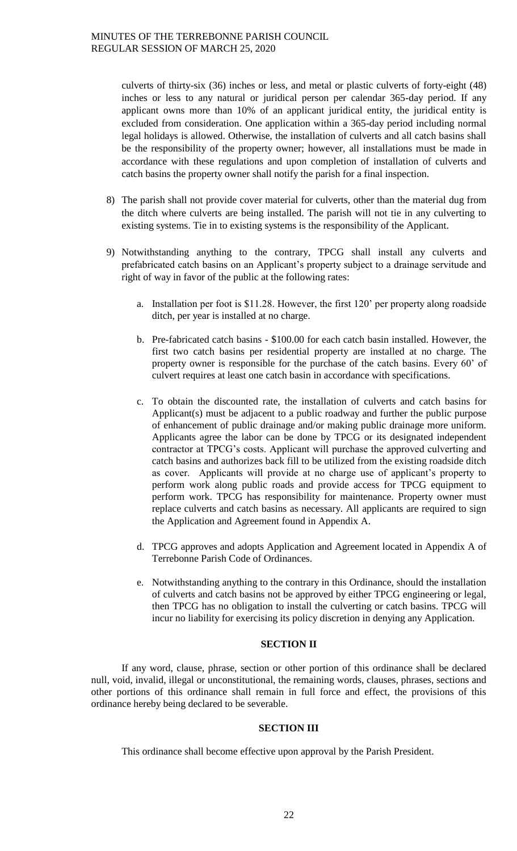culverts of thirty-six (36) inches or less, and metal or plastic culverts of forty-eight (48) inches or less to any natural or juridical person per calendar 365-day period. If any applicant owns more than 10% of an applicant juridical entity, the juridical entity is excluded from consideration. One application within a 365-day period including normal legal holidays is allowed. Otherwise, the installation of culverts and all catch basins shall be the responsibility of the property owner; however, all installations must be made in accordance with these regulations and upon completion of installation of culverts and catch basins the property owner shall notify the parish for a final inspection.

- 8) The parish shall not provide cover material for culverts, other than the material dug from the ditch where culverts are being installed. The parish will not tie in any culverting to existing systems. Tie in to existing systems is the responsibility of the Applicant.
- 9) Notwithstanding anything to the contrary, TPCG shall install any culverts and prefabricated catch basins on an Applicant's property subject to a drainage servitude and right of way in favor of the public at the following rates:
	- a. Installation per foot is \$11.28. However, the first 120' per property along roadside ditch, per year is installed at no charge.
	- b. Pre-fabricated catch basins \$100.00 for each catch basin installed. However, the first two catch basins per residential property are installed at no charge. The property owner is responsible for the purchase of the catch basins. Every 60' of culvert requires at least one catch basin in accordance with specifications.
	- c. To obtain the discounted rate, the installation of culverts and catch basins for Applicant(s) must be adjacent to a public roadway and further the public purpose of enhancement of public drainage and/or making public drainage more uniform. Applicants agree the labor can be done by TPCG or its designated independent contractor at TPCG's costs. Applicant will purchase the approved culverting and catch basins and authorizes back fill to be utilized from the existing roadside ditch as cover. Applicants will provide at no charge use of applicant's property to perform work along public roads and provide access for TPCG equipment to perform work. TPCG has responsibility for maintenance. Property owner must replace culverts and catch basins as necessary. All applicants are required to sign the Application and Agreement found in Appendix A.
	- d. TPCG approves and adopts Application and Agreement located in Appendix A of Terrebonne Parish Code of Ordinances.
	- e. Notwithstanding anything to the contrary in this Ordinance, should the installation of culverts and catch basins not be approved by either TPCG engineering or legal, then TPCG has no obligation to install the culverting or catch basins. TPCG will incur no liability for exercising its policy discretion in denying any Application.

# **SECTION II**

If any word, clause, phrase, section or other portion of this ordinance shall be declared null, void, invalid, illegal or unconstitutional, the remaining words, clauses, phrases, sections and other portions of this ordinance shall remain in full force and effect, the provisions of this ordinance hereby being declared to be severable.

# **SECTION III**

This ordinance shall become effective upon approval by the Parish President.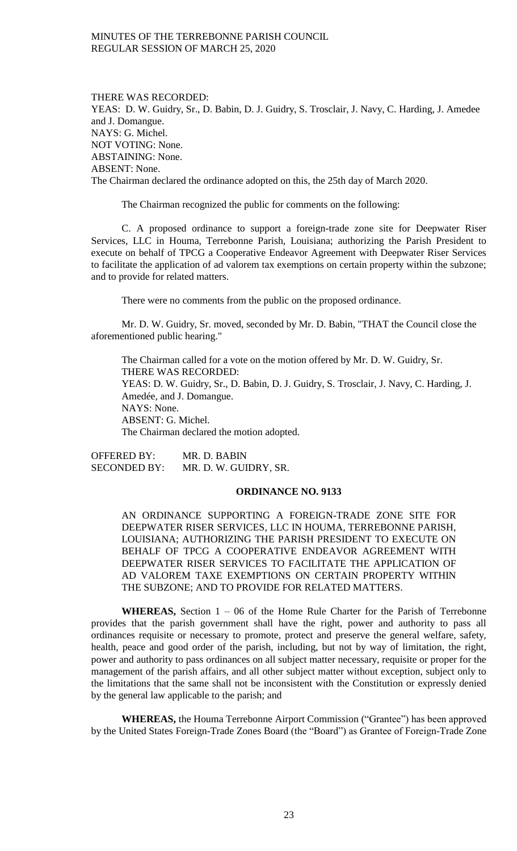THERE WAS RECORDED: YEAS: D. W. Guidry, Sr., D. Babin, D. J. Guidry, S. Trosclair, J. Navy, C. Harding, J. Amedee and J. Domangue. NAYS: G. Michel. NOT VOTING: None. ABSTAINING: None. ABSENT: None. The Chairman declared the ordinance adopted on this, the 25th day of March 2020.

The Chairman recognized the public for comments on the following:

C. A proposed ordinance to support a foreign-trade zone site for Deepwater Riser Services, LLC in Houma, Terrebonne Parish, Louisiana; authorizing the Parish President to execute on behalf of TPCG a Cooperative Endeavor Agreement with Deepwater Riser Services to facilitate the application of ad valorem tax exemptions on certain property within the subzone; and to provide for related matters.

There were no comments from the public on the proposed ordinance.

Mr. D. W. Guidry, Sr. moved, seconded by Mr. D. Babin, "THAT the Council close the aforementioned public hearing."

The Chairman called for a vote on the motion offered by Mr. D. W. Guidry, Sr. THERE WAS RECORDED: YEAS: D. W. Guidry, Sr., D. Babin, D. J. Guidry, S. Trosclair, J. Navy, C. Harding, J. Amedée, and J. Domangue. NAYS: None. ABSENT: G. Michel. The Chairman declared the motion adopted.

OFFERED BY: MR. D. BABIN SECONDED BY: MR. D. W. GUIDRY, SR.

### **ORDINANCE NO. 9133**

AN ORDINANCE SUPPORTING A FOREIGN-TRADE ZONE SITE FOR DEEPWATER RISER SERVICES, LLC IN HOUMA, TERREBONNE PARISH, LOUISIANA; AUTHORIZING THE PARISH PRESIDENT TO EXECUTE ON BEHALF OF TPCG A COOPERATIVE ENDEAVOR AGREEMENT WITH DEEPWATER RISER SERVICES TO FACILITATE THE APPLICATION OF AD VALOREM TAXE EXEMPTIONS ON CERTAIN PROPERTY WITHIN THE SUBZONE; AND TO PROVIDE FOR RELATED MATTERS.

**WHEREAS,** Section 1 – 06 of the Home Rule Charter for the Parish of Terrebonne provides that the parish government shall have the right, power and authority to pass all ordinances requisite or necessary to promote, protect and preserve the general welfare, safety, health, peace and good order of the parish, including, but not by way of limitation, the right, power and authority to pass ordinances on all subject matter necessary, requisite or proper for the management of the parish affairs, and all other subject matter without exception, subject only to the limitations that the same shall not be inconsistent with the Constitution or expressly denied by the general law applicable to the parish; and

**WHEREAS,** the Houma Terrebonne Airport Commission ("Grantee") has been approved by the United States Foreign-Trade Zones Board (the "Board") as Grantee of Foreign-Trade Zone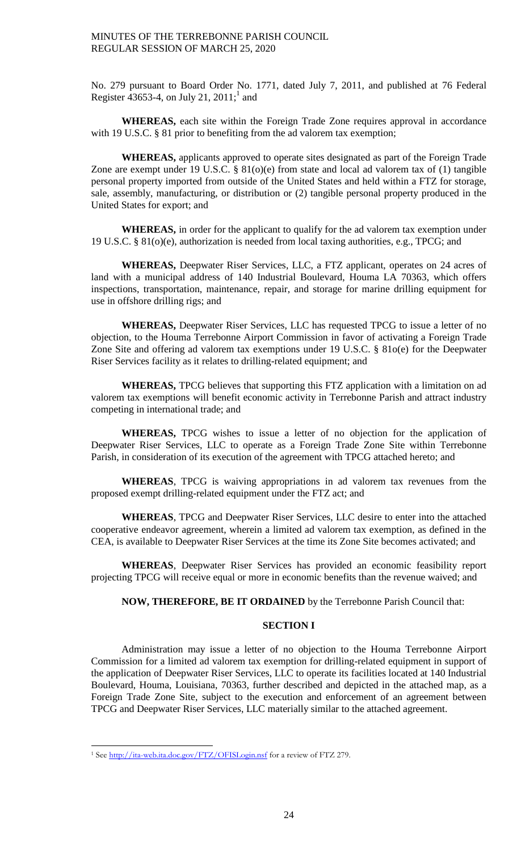No. 279 pursuant to Board Order No. 1771, dated July 7, 2011, and published at 76 Federal Register  $\frac{1}{4}3653-4$ , on July 21, 2011;<sup>1</sup> and

**WHEREAS,** each site within the Foreign Trade Zone requires approval in accordance with 19 U.S.C. § 81 prior to benefiting from the ad valorem tax exemption;

**WHEREAS,** applicants approved to operate sites designated as part of the Foreign Trade Zone are exempt under 19 U.S.C. § 81(o)(e) from state and local ad valorem tax of (1) tangible personal property imported from outside of the United States and held within a FTZ for storage, sale, assembly, manufacturing, or distribution or (2) tangible personal property produced in the United States for export; and

**WHEREAS,** in order for the applicant to qualify for the ad valorem tax exemption under 19 U.S.C. § 81(o)(e), authorization is needed from local taxing authorities, e.g., TPCG; and

**WHEREAS,** Deepwater Riser Services, LLC, a FTZ applicant, operates on 24 acres of land with a municipal address of 140 Industrial Boulevard, Houma LA 70363, which offers inspections, transportation, maintenance, repair, and storage for marine drilling equipment for use in offshore drilling rigs; and

**WHEREAS,** Deepwater Riser Services, LLC has requested TPCG to issue a letter of no objection, to the Houma Terrebonne Airport Commission in favor of activating a Foreign Trade Zone Site and offering ad valorem tax exemptions under 19 U.S.C. § 81o(e) for the Deepwater Riser Services facility as it relates to drilling-related equipment; and

**WHEREAS,** TPCG believes that supporting this FTZ application with a limitation on ad valorem tax exemptions will benefit economic activity in Terrebonne Parish and attract industry competing in international trade; and

**WHEREAS,** TPCG wishes to issue a letter of no objection for the application of Deepwater Riser Services, LLC to operate as a Foreign Trade Zone Site within Terrebonne Parish, in consideration of its execution of the agreement with TPCG attached hereto; and

**WHEREAS**, TPCG is waiving appropriations in ad valorem tax revenues from the proposed exempt drilling-related equipment under the FTZ act; and

**WHEREAS**, TPCG and Deepwater Riser Services, LLC desire to enter into the attached cooperative endeavor agreement, wherein a limited ad valorem tax exemption, as defined in the CEA, is available to Deepwater Riser Services at the time its Zone Site becomes activated; and

**WHEREAS**, Deepwater Riser Services has provided an economic feasibility report projecting TPCG will receive equal or more in economic benefits than the revenue waived; and

# **NOW, THEREFORE, BE IT ORDAINED** by the Terrebonne Parish Council that:

### **SECTION I**

Administration may issue a letter of no objection to the Houma Terrebonne Airport Commission for a limited ad valorem tax exemption for drilling-related equipment in support of the application of Deepwater Riser Services, LLC to operate its facilities located at 140 Industrial Boulevard, Houma, Louisiana, 70363, further described and depicted in the attached map, as a Foreign Trade Zone Site, subject to the execution and enforcement of an agreement between TPCG and Deepwater Riser Services, LLC materially similar to the attached agreement.

 $\overline{a}$ 

<sup>&</sup>lt;sup>1</sup> See<http://ita-web.ita.doc.gov/FTZ/OFISLogin.nsf> for a review of FTZ 279.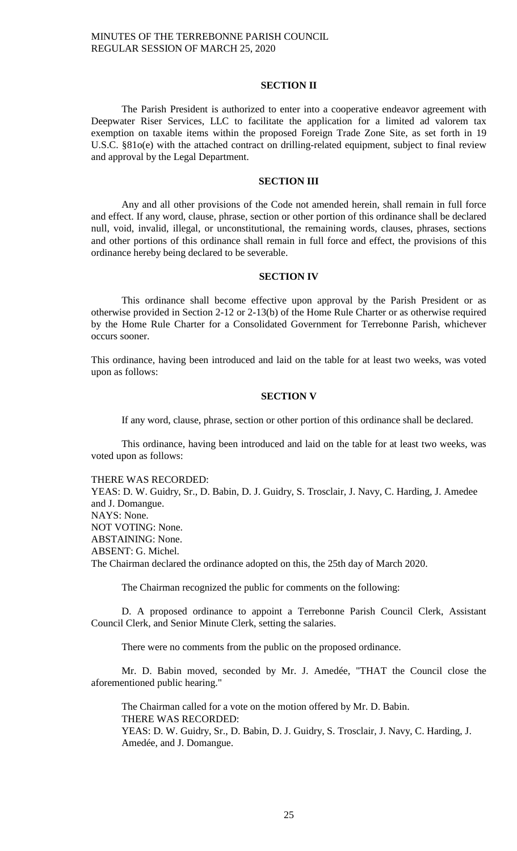## **SECTION II**

The Parish President is authorized to enter into a cooperative endeavor agreement with Deepwater Riser Services, LLC to facilitate the application for a limited ad valorem tax exemption on taxable items within the proposed Foreign Trade Zone Site, as set forth in 19 U.S.C. §81o(e) with the attached contract on drilling-related equipment, subject to final review and approval by the Legal Department.

#### **SECTION III**

Any and all other provisions of the Code not amended herein, shall remain in full force and effect. If any word, clause, phrase, section or other portion of this ordinance shall be declared null, void, invalid, illegal, or unconstitutional, the remaining words, clauses, phrases, sections and other portions of this ordinance shall remain in full force and effect, the provisions of this ordinance hereby being declared to be severable.

## **SECTION IV**

This ordinance shall become effective upon approval by the Parish President or as otherwise provided in Section 2-12 or 2-13(b) of the Home Rule Charter or as otherwise required by the Home Rule Charter for a Consolidated Government for Terrebonne Parish, whichever occurs sooner.

This ordinance, having been introduced and laid on the table for at least two weeks, was voted upon as follows:

### **SECTION V**

If any word, clause, phrase, section or other portion of this ordinance shall be declared.

This ordinance, having been introduced and laid on the table for at least two weeks, was voted upon as follows:

THERE WAS RECORDED:

YEAS: D. W. Guidry, Sr., D. Babin, D. J. Guidry, S. Trosclair, J. Navy, C. Harding, J. Amedee and J. Domangue. NAYS: None. NOT VOTING: None. ABSTAINING: None. ABSENT: G. Michel. The Chairman declared the ordinance adopted on this, the 25th day of March 2020.

The Chairman recognized the public for comments on the following:

D. A proposed ordinance to appoint a Terrebonne Parish Council Clerk, Assistant Council Clerk, and Senior Minute Clerk, setting the salaries.

There were no comments from the public on the proposed ordinance.

Mr. D. Babin moved, seconded by Mr. J. Amedée, "THAT the Council close the aforementioned public hearing."

The Chairman called for a vote on the motion offered by Mr. D. Babin. THERE WAS RECORDED: YEAS: D. W. Guidry, Sr., D. Babin, D. J. Guidry, S. Trosclair, J. Navy, C. Harding, J. Amedée, and J. Domangue.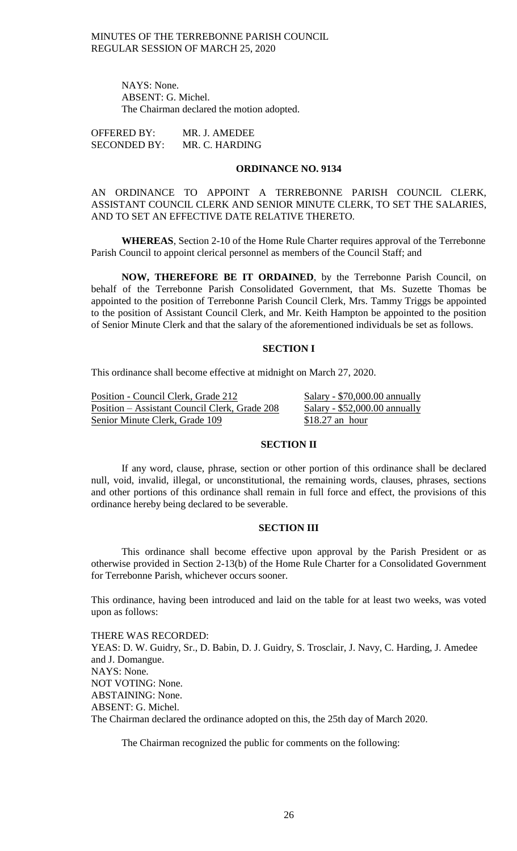NAYS: None. ABSENT: G. Michel. The Chairman declared the motion adopted.

OFFERED BY: MR. J. AMEDEE SECONDED BY: MR. C. HARDING

# **ORDINANCE NO. 9134**

AN ORDINANCE TO APPOINT A TERREBONNE PARISH COUNCIL CLERK, ASSISTANT COUNCIL CLERK AND SENIOR MINUTE CLERK, TO SET THE SALARIES, AND TO SET AN EFFECTIVE DATE RELATIVE THERETO.

**WHEREAS**, Section 2-10 of the Home Rule Charter requires approval of the Terrebonne Parish Council to appoint clerical personnel as members of the Council Staff; and

**NOW, THEREFORE BE IT ORDAINED**, by the Terrebonne Parish Council, on behalf of the Terrebonne Parish Consolidated Government, that Ms. Suzette Thomas be appointed to the position of Terrebonne Parish Council Clerk, Mrs. Tammy Triggs be appointed to the position of Assistant Council Clerk, and Mr. Keith Hampton be appointed to the position of Senior Minute Clerk and that the salary of the aforementioned individuals be set as follows.

## **SECTION I**

This ordinance shall become effective at midnight on March 27, 2020.

Position - Council Clerk, Grade 212 Salary - \$70,000.00 annually Position – Assistant Council Clerk, Grade 208 Salary - \$52,000.00 annually Senior Minute Clerk, Grade 109 \$18.27 an hour

### **SECTION II**

If any word, clause, phrase, section or other portion of this ordinance shall be declared null, void, invalid, illegal, or unconstitutional, the remaining words, clauses, phrases, sections and other portions of this ordinance shall remain in full force and effect, the provisions of this ordinance hereby being declared to be severable.

## **SECTION III**

This ordinance shall become effective upon approval by the Parish President or as otherwise provided in Section 2-13(b) of the Home Rule Charter for a Consolidated Government for Terrebonne Parish, whichever occurs sooner.

This ordinance, having been introduced and laid on the table for at least two weeks, was voted upon as follows:

THERE WAS RECORDED: YEAS: D. W. Guidry, Sr., D. Babin, D. J. Guidry, S. Trosclair, J. Navy, C. Harding, J. Amedee and J. Domangue. NAYS: None. NOT VOTING: None. ABSTAINING: None. ABSENT: G. Michel. The Chairman declared the ordinance adopted on this, the 25th day of March 2020.

The Chairman recognized the public for comments on the following: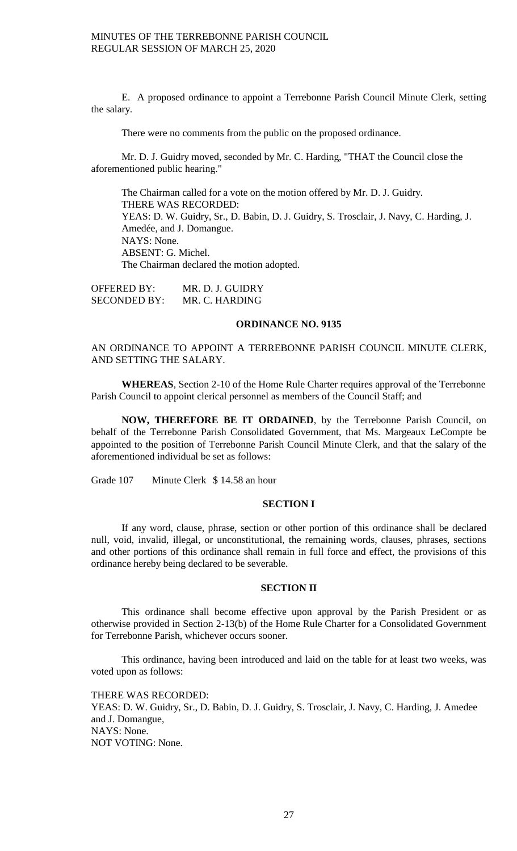E. A proposed ordinance to appoint a Terrebonne Parish Council Minute Clerk, setting the salary.

There were no comments from the public on the proposed ordinance.

Mr. D. J. Guidry moved, seconded by Mr. C. Harding, "THAT the Council close the aforementioned public hearing."

The Chairman called for a vote on the motion offered by Mr. D. J. Guidry. THERE WAS RECORDED: YEAS: D. W. Guidry, Sr., D. Babin, D. J. Guidry, S. Trosclair, J. Navy, C. Harding, J. Amedée, and J. Domangue. NAYS: None. ABSENT: G. Michel. The Chairman declared the motion adopted.

OFFERED BY: MR. D. J. GUIDRY SECONDED BY: MR. C. HARDING

### **ORDINANCE NO. 9135**

AN ORDINANCE TO APPOINT A TERREBONNE PARISH COUNCIL MINUTE CLERK, AND SETTING THE SALARY.

**WHEREAS**, Section 2-10 of the Home Rule Charter requires approval of the Terrebonne Parish Council to appoint clerical personnel as members of the Council Staff; and

**NOW, THEREFORE BE IT ORDAINED**, by the Terrebonne Parish Council, on behalf of the Terrebonne Parish Consolidated Government, that Ms. Margeaux LeCompte be appointed to the position of Terrebonne Parish Council Minute Clerk, and that the salary of the aforementioned individual be set as follows:

Grade 107 Minute Clerk \$ 14.58 an hour

### **SECTION I**

If any word, clause, phrase, section or other portion of this ordinance shall be declared null, void, invalid, illegal, or unconstitutional, the remaining words, clauses, phrases, sections and other portions of this ordinance shall remain in full force and effect, the provisions of this ordinance hereby being declared to be severable.

### **SECTION II**

This ordinance shall become effective upon approval by the Parish President or as otherwise provided in Section 2-13(b) of the Home Rule Charter for a Consolidated Government for Terrebonne Parish, whichever occurs sooner.

This ordinance, having been introduced and laid on the table for at least two weeks, was voted upon as follows:

THERE WAS RECORDED:

YEAS: D. W. Guidry, Sr., D. Babin, D. J. Guidry, S. Trosclair, J. Navy, C. Harding, J. Amedee and J. Domangue, NAYS: None. NOT VOTING: None.